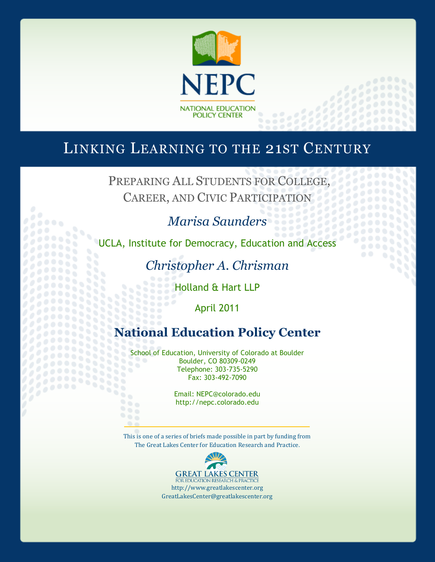

# LINKING LEARNING TO THE 21ST CENTURY

PREPARING ALL STUDENTS FOR COLLEGE, CAREER, AND CIVIC PARTICIPATION

# *Marisa Saunders*

UCLA, Institute for Democracy, Education and Access

88 йğ

*Christopher A. Chrisman*

Holland & Hart LLP

April 2011

# **National Education Policy Center**

School of Education, University of Colorado at Boulder Boulder, CO 80309-0249 Telephone: 303-735-5290 Fax: 303-492-7090

88

Email: NEPC@colorado.edu http://nepc.colorado.edu

This is one of a series of briefs made possible in part by funding from The Great Lakes Center for Education Research and Practice.

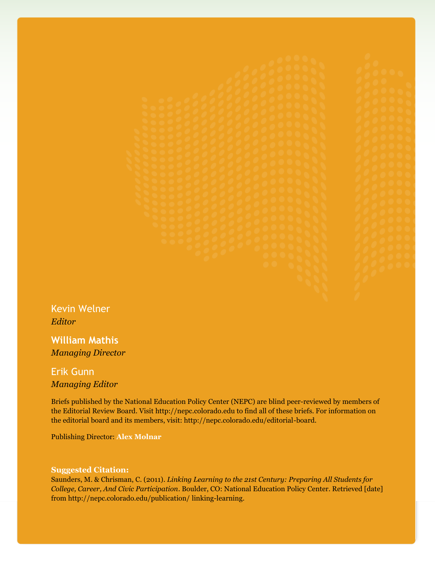Kevin Welner *Editor*

**William Mathis** *Managing Director*

# Erik Gunn *Managing Editor*

Briefs published by the National Education Policy Center (NEPC) are blind peer-reviewed by members of the Editorial Review Board. Visit http://nepc.colorado.edu to find all of these briefs. For information on the editorial board and its members, visit: http://nepc.colorado.edu/editorial-board.

Publishing Director: **Alex Molnar**

#### **Suggested Citation:**

Saunders, M. & Chrisman, C. (2011). *Linking Learning to the 21st Century: Preparing All Students for College, Career, And Civic Participation*. Boulder, CO: National Education Policy Center. Retrieved [date] from http://nepc.colorado.edu/publication/ linking-learning.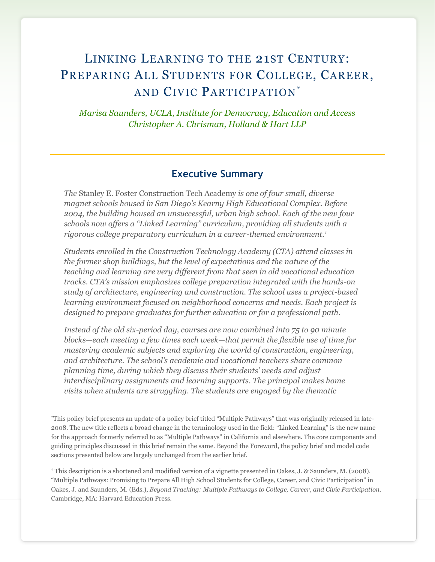# LINKING LEARNING TO THE 21ST CENTURY: PREPARING ALL STUDENTS FOR COLLEGE, CAREER, AND CIVIC PARTICIPATION\*

*Marisa Saunders, UCLA, Institute for Democracy, Education and Access Christopher A. Chrisman, Holland & Hart LLP*

## **Executive Summary**

*The* Stanley E. Foster Construction Tech Academy *is one of four small, diverse magnet schools housed in San Diego's Kearny High Educational Complex. Before 2004, the building housed an unsuccessful, urban high school. Each of the new four schools now offers a "Linked Learning" curriculum, providing all students with a rigorous college preparatory curriculum in a career-themed environment.†*

*Students enrolled in the Construction Technology Academy (CTA) attend classes in the former shop buildings, but the level of expectations and the nature of the teaching and learning are very different from that seen in old vocational education tracks. CTA's mission emphasizes college preparation integrated with the hands-on study of architecture, engineering and construction. The school uses a project-based learning environment focused on neighborhood concerns and needs. Each project is designed to prepare graduates for further education or for a professional path.*

*Instead of the old six-period day, courses are now combined into 75 to 90 minute blocks—each meeting a few times each week—that permit the flexible use of time for mastering academic subjects and exploring the world of construction, engineering, and architecture. The school's academic and vocational teachers share common planning time, during which they discuss their students' needs and adjust interdisciplinary assignments and learning supports. The principal makes home visits when students are struggling. The students are engaged by the thematic* 

\*This policy brief presents an update of a policy brief titled ―Multiple Pathways‖ that was originally released in late-2008. The new title reflects a broad change in the terminology used in the field: "Linked Learning" is the new name for the approach formerly referred to as "Multiple Pathways" in California and elsewhere. The core components and guiding principles discussed in this brief remain the same. Beyond the Foreword, the policy brief and model code sections presented below are largely unchanged from the earlier brief.

† This description is a shortened and modified version of a vignette presented in Oakes, J. & Saunders, M. (2008). ―Multiple Pathways: Promising to Prepare All High School Students for College, Career, and Civic Participation‖ in Oakes, J. and Saunders, M. (Eds.), *Beyond Tracking: Multiple Pathways to College, Career, and Civic Participation*. Cambridge, MA: Harvard Education Press.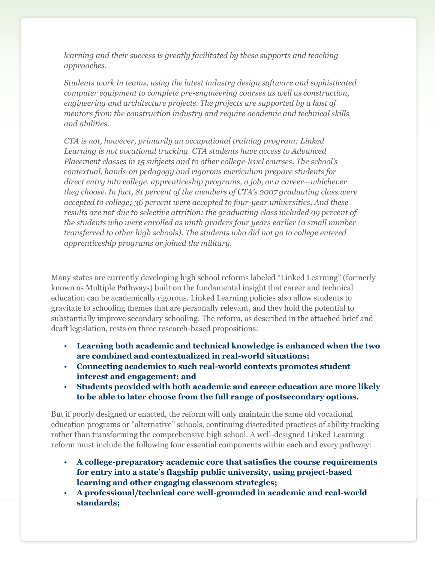*learning and their success is greatly facilitated by these supports and teaching approaches.*

*Students work in teams, using the latest industry design software and sophisticated computer equipment to complete pre-engineering courses as well as construction, engineering and architecture projects. The projects are supported by a host of mentors from the construction industry and require academic and technical skills and abilities.*

*CTA is not, however, primarily an occupational training program; Linked Learning is not vocational tracking. CTA students have access to Advanced Placement classes in 15 subjects and to other college-level courses. The school's contextual, hands-on pedagogy and rigorous curriculum prepare students for direct entry into college, apprenticeship programs, a job, or a career—whichever they choose. In fact, 81 percent of the members of CTA's 2007 graduating class were accepted to college; 36 percent were accepted to four-year universities. And these results are not due to selective attrition: the graduating class included 99 percent of the students who were enrolled as ninth graders four years earlier (a small number transferred to other high schools). The students who did not go to college entered apprenticeship programs or joined the military.*

Many states are currently developing high school reforms labeled "Linked Learning" (formerly known as Multiple Pathways) built on the fundamental insight that career and technical education can be academically rigorous. Linked Learning policies also allow students to gravitate to schooling themes that are personally relevant, and they hold the potential to substantially improve secondary schooling. The reform, as described in the attached brief and draft legislation, rests on three research-based propositions:

- **Learning both academic and technical knowledge is enhanced when the two are combined and contextualized in real-world situations;**
- **Connecting academics to such real-world contexts promotes student interest and engagement; and**
- **Students provided with both academic and career education are more likely to be able to later choose from the full range of postsecondary options.**

But if poorly designed or enacted, the reform will only maintain the same old vocational education programs or "alternative" schools, continuing discredited practices of ability tracking rather than transforming the comprehensive high school. A well-designed Linked Learning reform must include the following four essential components within each and every pathway:

- **A college-preparatory academic core that satisfies the course requirements for entry into a state's flagship public university, using project-based learning and other engaging classroom strategies;**
- **A professional/technical core well-grounded in academic and real-world standards;**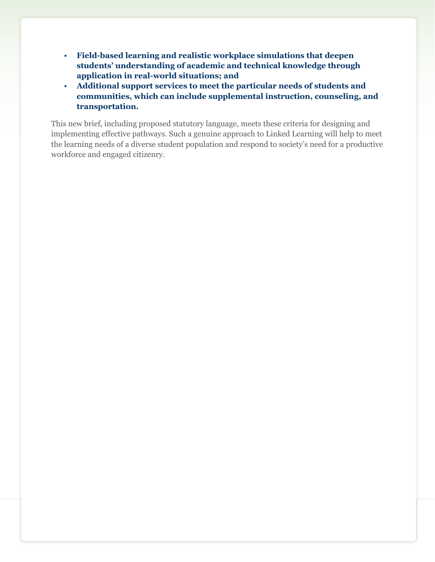- **Field-based learning and realistic workplace simulations that deepen students' understanding of academic and technical knowledge through application in real-world situations; and**
- **Additional support services to meet the particular needs of students and communities, which can include supplemental instruction, counseling, and transportation.**

This new brief, including proposed statutory language, meets these criteria for designing and implementing effective pathways. Such a genuine approach to Linked Learning will help to meet the learning needs of a diverse student population and respond to society's need for a productive workforce and engaged citizenry.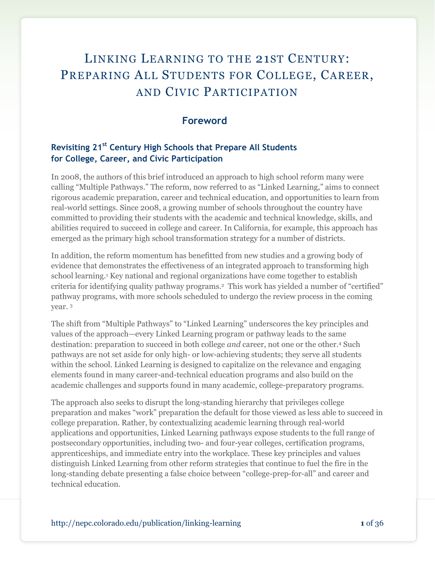# LINKING LEARNING TO THE 21ST CENTURY: PREPARING ALL STUDENTS FOR COLLEGE, CAREER, AND CIVIC PARTICIPATION

## **Foreword**

# **Revisiting 21st Century High Schools that Prepare All Students for College, Career, and Civic Participation**

In 2008, the authors of this brief introduced an approach to high school reform many were calling "Multiple Pathways." The reform, now referred to as "Linked Learning," aims to connect rigorous academic preparation, career and technical education, and opportunities to learn from real-world settings. Since 2008, a growing number of schools throughout the country have committed to providing their students with the academic and technical knowledge, skills, and abilities required to succeed in college and career. In California, for example, this approach has emerged as the primary high school transformation strategy for a number of districts.

In addition, the reform momentum has benefitted from new studies and a growing body of evidence that demonstrates the effectiveness of an integrated approach to transforming high school learning.<sup>1</sup> Key national and regional organizations have come together to establish criteria for identifying quality pathway programs.<sup>2</sup> This work has yielded a number of "certified" pathway programs, with more schools scheduled to undergo the review process in the coming year. <sup>3</sup>

The shift from "Multiple Pathways" to "Linked Learning" underscores the key principles and values of the approach—every Linked Learning program or pathway leads to the same destination: preparation to succeed in both college *and* career, not one or the other. <sup>4</sup> Such pathways are not set aside for only high- or low-achieving students; they serve all students within the school. Linked Learning is designed to capitalize on the relevance and engaging elements found in many career-and-technical education programs and also build on the academic challenges and supports found in many academic, college-preparatory programs.

The approach also seeks to disrupt the long-standing hierarchy that privileges college preparation and makes "work" preparation the default for those viewed as less able to succeed in college preparation. Rather, by contextualizing academic learning through real-world applications and opportunities, Linked Learning pathways expose students to the full range of postsecondary opportunities, including two- and four-year colleges, certification programs, apprenticeships, and immediate entry into the workplace. These key principles and values distinguish Linked Learning from other reform strategies that continue to fuel the fire in the long-standing debate presenting a false choice between "college-prep-for-all" and career and technical education.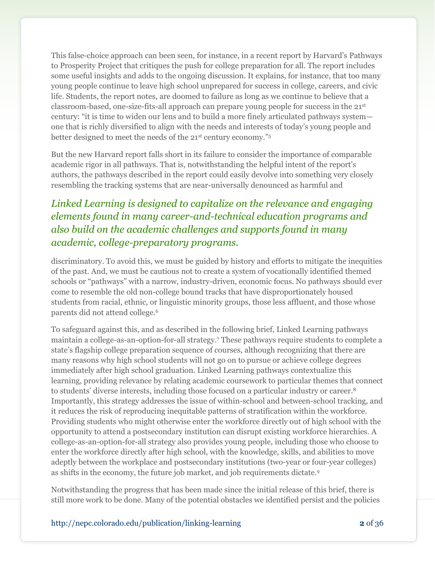This false-choice approach can been seen, for instance, in a recent report by Harvard's Pathways to Prosperity Project that critiques the push for college preparation for all. The report includes some useful insights and adds to the ongoing discussion. It explains, for instance, that too many young people continue to leave high school unprepared for success in college, careers, and civic life. Students, the report notes, are doomed to failure as long as we continue to believe that a classroom-based, one-size-fits-all approach can prepare young people for success in the 21st century: "it is time to widen our lens and to build a more finely articulated pathways system one that is richly diversified to align with the needs and interests of today's young people and better designed to meet the needs of the 21<sup>st</sup> century economy."<sup>5</sup>

But the new Harvard report falls short in its failure to consider the importance of comparable academic rigor in all pathways. That is, notwithstanding the helpful intent of the report's authors, the pathways described in the report could easily devolve into something very closely resembling the tracking systems that are near-universally denounced as harmful and

# *Linked Learning is designed to capitalize on the relevance and engaging elements found in many career-and-technical education programs and also build on the academic challenges and supports found in many academic, college-preparatory programs.*

discriminatory. To avoid this, we must be guided by history and efforts to mitigate the inequities of the past. And, we must be cautious not to create a system of vocationally identified themed schools or "pathways" with a narrow, industry-driven, economic focus. No pathways should ever come to resemble the old non-college bound tracks that have disproportionately housed students from racial, ethnic, or linguistic minority groups, those less affluent, and those whose parents did not attend college.<sup>6</sup>

To safeguard against this, and as described in the following brief, Linked Learning pathways maintain a college-as-an-option-for-all strategy.<sup>7</sup> These pathways require students to complete a state's flagship college preparation sequence of courses, although recognizing that there are many reasons why high school students will not go on to pursue or achieve college degrees immediately after high school graduation. Linked Learning pathways contextualize this learning, providing relevance by relating academic coursework to particular themes that connect to students' diverse interests, including those focused on a particular industry or career.<sup>8</sup> Importantly, this strategy addresses the issue of within-school and between-school tracking, and it reduces the risk of reproducing inequitable patterns of stratification within the workforce. Providing students who might otherwise enter the workforce directly out of high school with the opportunity to attend a postsecondary institution can disrupt existing workforce hierarchies. A college-as-an-option-for-all strategy also provides young people, including those who choose to enter the workforce directly after high school, with the knowledge, skills, and abilities to move adeptly between the workplace and postsecondary institutions (two-year or four-year colleges) as shifts in the economy, the future job market, and job requirements dictate.<sup>9</sup>

Notwithstanding the progress that has been made since the initial release of this brief, there is still more work to be done. Many of the potential obstacles we identified persist and the policies

http://nepc.colorado.edu/publication/linking-learning **2** of 36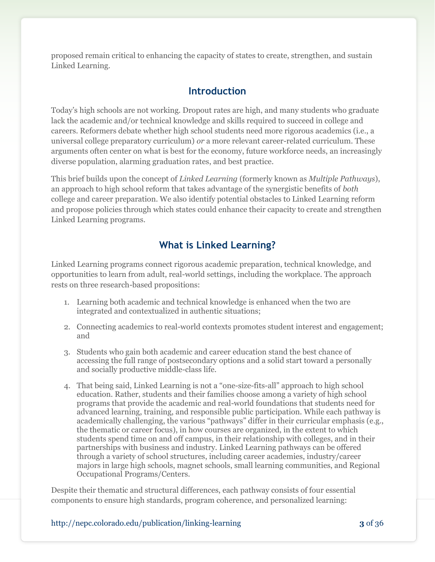proposed remain critical to enhancing the capacity of states to create, strengthen, and sustain Linked Learning.

# **Introduction**

Today's high schools are not working. Dropout rates are high, and many students who graduate lack the academic and/or technical knowledge and skills required to succeed in college and careers. Reformers debate whether high school students need more rigorous academics (i.e., a universal college preparatory curriculum) *or* a more relevant career-related curriculum. These arguments often center on what is best for the economy, future workforce needs, an increasingly diverse population, alarming graduation rates, and best practice.

This brief builds upon the concept of *Linked Learning* (formerly known as *Multiple Pathways*), an approach to high school reform that takes advantage of the synergistic benefits of *both* college and career preparation. We also identify potential obstacles to Linked Learning reform and propose policies through which states could enhance their capacity to create and strengthen Linked Learning programs.

# **What is Linked Learning?**

Linked Learning programs connect rigorous academic preparation, technical knowledge, and opportunities to learn from adult, real-world settings, including the workplace. The approach rests on three research-based propositions:

- 1. Learning both academic and technical knowledge is enhanced when the two are integrated and contextualized in authentic situations;
- 2. Connecting academics to real-world contexts promotes student interest and engagement; and
- 3. Students who gain both academic and career education stand the best chance of accessing the full range of postsecondary options and a solid start toward a personally and socially productive middle-class life.
- 4. That being said, Linked Learning is not a "one-size-fits-all" approach to high school education. Rather, students and their families choose among a variety of high school programs that provide the academic and real-world foundations that students need for advanced learning, training, and responsible public participation. While each pathway is academically challenging, the various "pathways" differ in their curricular emphasis (e.g., the thematic or career focus), in how courses are organized, in the extent to which students spend time on and off campus, in their relationship with colleges, and in their partnerships with business and industry. Linked Learning pathways can be offered through a variety of school structures, including career academies, industry/career majors in large high schools, magnet schools, small learning communities, and Regional Occupational Programs/Centers.

Despite their thematic and structural differences, each pathway consists of four essential components to ensure high standards, program coherence, and personalized learning:

#### http://nepc.colorado.edu/publication/linking-learning **3** of 36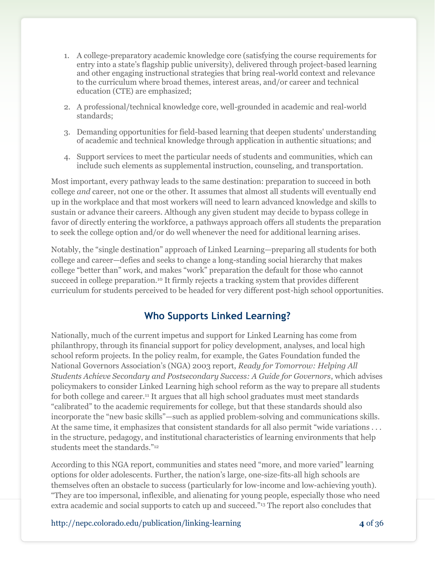- 1. A college-preparatory academic knowledge core (satisfying the course requirements for entry into a state's flagship public university), delivered through project-based learning and other engaging instructional strategies that bring real-world context and relevance to the curriculum where broad themes, interest areas, and/or career and technical education (CTE) are emphasized;
- 2. A professional/technical knowledge core, well-grounded in academic and real-world standards;
- 3. Demanding opportunities for field-based learning that deepen students' understanding of academic and technical knowledge through application in authentic situations; and
- 4. Support services to meet the particular needs of students and communities, which can include such elements as supplemental instruction, counseling, and transportation.

Most important, every pathway leads to the same destination: preparation to succeed in both college *and* career, not one or the other. It assumes that almost all students will eventually end up in the workplace and that most workers will need to learn advanced knowledge and skills to sustain or advance their careers. Although any given student may decide to bypass college in favor of directly entering the workforce, a pathways approach offers all students the preparation to seek the college option and/or do well whenever the need for additional learning arises.

Notably, the "single destination" approach of Linked Learning—preparing all students for both college and career—defies and seeks to change a long-standing social hierarchy that makes college "better than" work, and makes "work" preparation the default for those who cannot succeed in college preparation.<sup>10</sup> It firmly rejects a tracking system that provides different curriculum for students perceived to be headed for very different post-high school opportunities.

# **Who Supports Linked Learning?**

Nationally, much of the current impetus and support for Linked Learning has come from philanthropy, through its financial support for policy development, analyses, and local high school reform projects. In the policy realm, for example, the Gates Foundation funded the National Governors Association's (NGA) 2003 report, *Ready for Tomorrow: Helping All Students Achieve Secondary and Postsecondary Success: A Guide for Governors*, which advises policymakers to consider Linked Learning high school reform as the way to prepare all students for both college and career.<sup>11</sup> It argues that all high school graduates must meet standards ―calibrated‖ to the academic requirements for college, but that these standards should also incorporate the "new basic skills"—such as applied problem-solving and communications skills. At the same time, it emphasizes that consistent standards for all also permit "wide variations . . . in the structure, pedagogy, and institutional characteristics of learning environments that help students meet the standards."<sup>12</sup>

According to this NGA report, communities and states need "more, and more varied" learning options for older adolescents. Further, the nation's large, one-size-fits-all high schools are themselves often an obstacle to success (particularly for low-income and low-achieving youth). ―They are too impersonal, inflexible, and alienating for young people, especially those who need extra academic and social supports to catch up and succeed."<sup>13</sup> The report also concludes that

http://nepc.colorado.edu/publication/linking-learning **4** of 36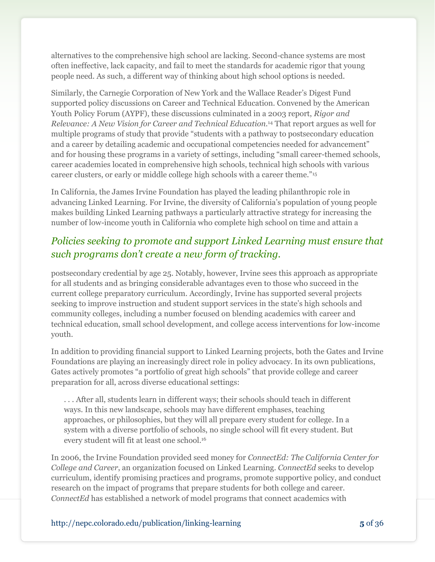alternatives to the comprehensive high school are lacking. Second-chance systems are most often ineffective, lack capacity, and fail to meet the standards for academic rigor that young people need. As such, a different way of thinking about high school options is needed.

Similarly, the Carnegie Corporation of New York and the Wallace Reader's Digest Fund supported policy discussions on Career and Technical Education. Convened by the American Youth Policy Forum (AYPF), these discussions culminated in a 2003 report, *Rigor and Relevance: A New Vision for Career and Technical Education.*<sup>14</sup> That report argues as well for multiple programs of study that provide "students with a pathway to postsecondary education and a career by detailing academic and occupational competencies needed for advancement" and for housing these programs in a variety of settings, including "small career-themed schools, career academies located in comprehensive high schools, technical high schools with various career clusters, or early or middle college high schools with a career theme."<sup>15</sup>

In California, the James Irvine Foundation has played the leading philanthropic role in advancing Linked Learning. For Irvine, the diversity of California's population of young people makes building Linked Learning pathways a particularly attractive strategy for increasing the number of low-income youth in California who complete high school on time and attain a

# *Policies seeking to promote and support Linked Learning must ensure that such programs don't create a new form of tracking.*

postsecondary credential by age 25. Notably, however, Irvine sees this approach as appropriate for all students and as bringing considerable advantages even to those who succeed in the current college preparatory curriculum. Accordingly, Irvine has supported several projects seeking to improve instruction and student support services in the state's high schools and community colleges, including a number focused on blending academics with career and technical education, small school development, and college access interventions for low-income youth.

In addition to providing financial support to Linked Learning projects, both the Gates and Irvine Foundations are playing an increasingly direct role in policy advocacy. In its own publications, Gates actively promotes "a portfolio of great high schools" that provide college and career preparation for all, across diverse educational settings:

. . . After all, students learn in different ways; their schools should teach in different ways. In this new landscape, schools may have different emphases, teaching approaches, or philosophies, but they will all prepare every student for college. In a system with a diverse portfolio of schools, no single school will fit every student. But every student will fit at least one school.<sup>16</sup>

In 2006, the Irvine Foundation provided seed money for *ConnectEd: The California Center for College and Career*, an organization focused on Linked Learning. *ConnectEd* seeks to develop curriculum, identify promising practices and programs, promote supportive policy, and conduct research on the impact of programs that prepare students for both college and career. *ConnectEd* has established a network of model programs that connect academics with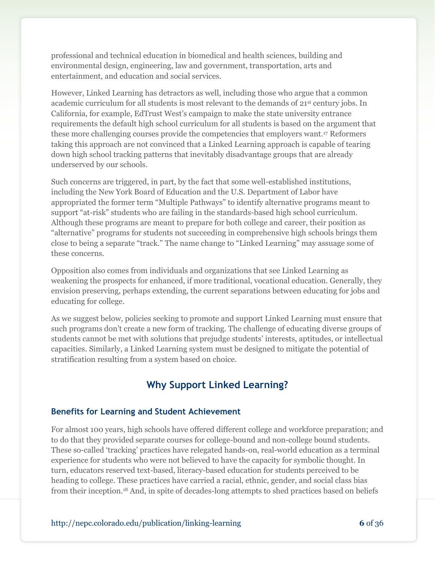professional and technical education in biomedical and health sciences, building and environmental design, engineering, law and government, transportation, arts and entertainment, and education and social services.

However, Linked Learning has detractors as well, including those who argue that a common academic curriculum for all students is most relevant to the demands of  $21<sup>st</sup>$  century jobs. In California, for example, EdTrust West's campaign to make the state university entrance requirements the default high school curriculum for all students is based on the argument that these more challenging courses provide the competencies that employers want.<sup>17</sup> Reformers taking this approach are not convinced that a Linked Learning approach is capable of tearing down high school tracking patterns that inevitably disadvantage groups that are already underserved by our schools.

Such concerns are triggered, in part, by the fact that some well-established institutions, including the New York Board of Education and the U.S. Department of Labor have appropriated the former term "Multiple Pathways" to identify alternative programs meant to support "at-risk" students who are failing in the standards-based high school curriculum. Although these programs are meant to prepare for both college and career, their position as ―alternative‖ programs for students not succeeding in comprehensive high schools brings them close to being a separate "track." The name change to "Linked Learning" may assuage some of these concerns.

Opposition also comes from individuals and organizations that see Linked Learning as weakening the prospects for enhanced, if more traditional, vocational education. Generally, they envision preserving, perhaps extending, the current separations between educating for jobs and educating for college.

As we suggest below, policies seeking to promote and support Linked Learning must ensure that such programs don't create a new form of tracking. The challenge of educating diverse groups of students cannot be met with solutions that prejudge students' interests, aptitudes, or intellectual capacities. Similarly, a Linked Learning system must be designed to mitigate the potential of stratification resulting from a system based on choice.

# **Why Support Linked Learning?**

#### **Benefits for Learning and Student Achievement**

For almost 100 years, high schools have offered different college and workforce preparation; and to do that they provided separate courses for college-bound and non-college bound students. These so-called ‗tracking' practices have relegated hands-on, real-world education as a terminal experience for students who were not believed to have the capacity for symbolic thought. In turn, educators reserved text-based, literacy-based education for students perceived to be heading to college. These practices have carried a racial, ethnic, gender, and social class bias from their inception.<sup>18</sup> And, in spite of decades-long attempts to shed practices based on beliefs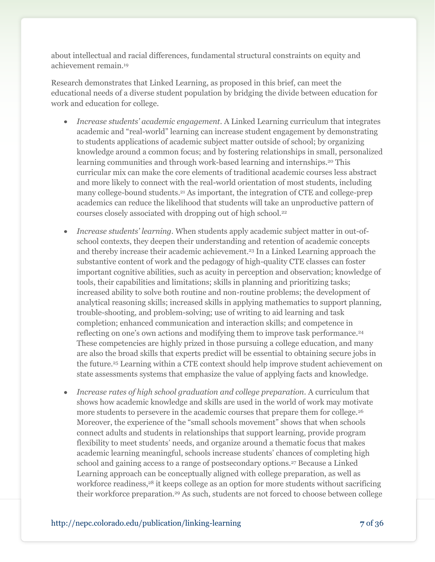about intellectual and racial differences, fundamental structural constraints on equity and achievement remain. 19

Research demonstrates that Linked Learning, as proposed in this brief, can meet the educational needs of a diverse student population by bridging the divide between education for work and education for college.

- *Increase students' academic engagement.* A Linked Learning curriculum that integrates academic and "real-world" learning can increase student engagement by demonstrating to students applications of academic subject matter outside of school; by organizing knowledge around a common focus; and by fostering relationships in small, personalized learning communities and through work-based learning and internships.<sup>20</sup> This curricular mix can make the core elements of traditional academic courses less abstract and more likely to connect with the real-world orientation of most students, including many college-bound students.<sup>21</sup> As important, the integration of CTE and college-prep academics can reduce the likelihood that students will take an unproductive pattern of courses closely associated with dropping out of high school.<sup>22</sup>
- *Increase students' learning.* When students apply academic subject matter in out-ofschool contexts, they deepen their understanding and retention of academic concepts and thereby increase their academic achievement.<sup>23</sup> In a Linked Learning approach the substantive content of work and the pedagogy of high-quality CTE classes can foster important cognitive abilities, such as acuity in perception and observation; knowledge of tools, their capabilities and limitations; skills in planning and prioritizing tasks; increased ability to solve both routine and non-routine problems; the development of analytical reasoning skills; increased skills in applying mathematics to support planning, trouble-shooting, and problem-solving; use of writing to aid learning and task completion; enhanced communication and interaction skills; and competence in reflecting on one's own actions and modifying them to improve task performance.<sup>24</sup> These competencies are highly prized in those pursuing a college education, and many are also the broad skills that experts predict will be essential to obtaining secure jobs in the future.<sup>25</sup> Learning within a CTE context should help improve student achievement on state assessments systems that emphasize the value of applying facts and knowledge.
- *Increase rates of high school graduation and college preparation.* A curriculum that shows how academic knowledge and skills are used in the world of work may motivate more students to persevere in the academic courses that prepare them for college.<sup>26</sup> Moreover, the experience of the "small schools movement" shows that when schools connect adults and students in relationships that support learning, provide program flexibility to meet students' needs, and organize around a thematic focus that makes academic learning meaningful, schools increase students' chances of completing high school and gaining access to a range of postsecondary options.<sup>27</sup> Because a Linked Learning approach can be conceptually aligned with college preparation, as well as workforce readiness,<sup>28</sup> it keeps college as an option for more students without sacrificing their workforce preparation.<sup>29</sup> As such, students are not forced to choose between college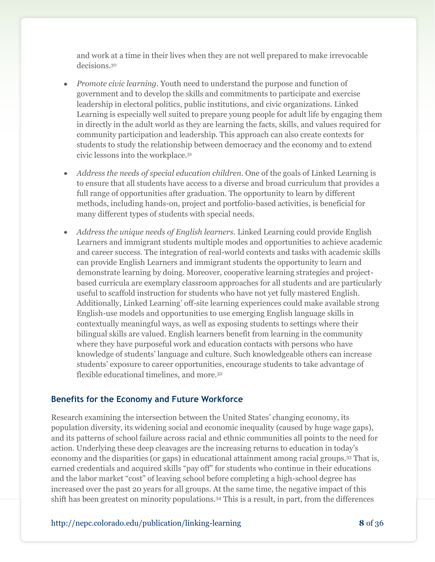and work at a time in their lives when they are not well prepared to make irrevocable decisions.<sup>30</sup>

- *Promote civic learning.* Youth need to understand the purpose and function of government and to develop the skills and commitments to participate and exercise leadership in electoral politics, public institutions, and civic organizations. Linked Learning is especially well suited to prepare young people for adult life by engaging them in directly in the adult world as they are learning the facts, skills, and values required for community participation and leadership. This approach can also create contexts for students to study the relationship between democracy and the economy and to extend civic lessons into the workplace.<sup>31</sup>
- *Address the needs of special education children.* One of the goals of Linked Learning is  $\bullet$ to ensure that all students have access to a diverse and broad curriculum that provides a full range of opportunities after graduation. The opportunity to learn by different methods, including hands-on, project and portfolio-based activities, is beneficial for many different types of students with special needs.
- *Address the unique needs of English learners.* Linked Learning could provide English Learners and immigrant students multiple modes and opportunities to achieve academic and career success. The integration of real-world contexts and tasks with academic skills can provide English Learners and immigrant students the opportunity to learn and demonstrate learning by doing. Moreover, cooperative learning strategies and projectbased curricula are exemplary classroom approaches for all students and are particularly useful to scaffold instruction for students who have not yet fully mastered English. Additionally, Linked Learning' off-site learning experiences could make available strong English-use models and opportunities to use emerging English language skills in contextually meaningful ways, as well as exposing students to settings where their bilingual skills are valued. English learners benefit from learning in the community where they have purposeful work and education contacts with persons who have knowledge of students' language and culture. Such knowledgeable others can increase students' exposure to career opportunities, encourage students to take advantage of flexible educational timelines, and more.<sup>32</sup>

#### **Benefits for the Economy and Future Workforce**

Research examining the intersection between the United States' changing economy, its population diversity, its widening social and economic inequality (caused by huge wage gaps), and its patterns of school failure across racial and ethnic communities all points to the need for action. Underlying these deep cleavages are the increasing returns to education in today's economy and the disparities (or gaps) in educational attainment among racial groups.<sup>33</sup> That is, earned credentials and acquired skills "pay off" for students who continue in their educations and the labor market "cost" of leaving school before completing a high-school degree has increased over the past 20 years for all groups. At the same time, the negative impact of this shift has been greatest on minority populations.<sup>34</sup> This is a result, in part, from the differences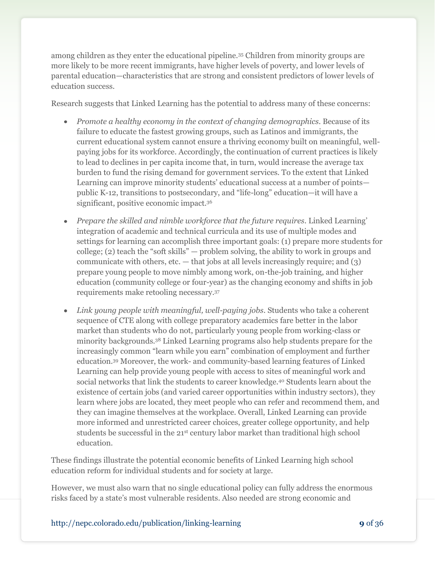among children as they enter the educational pipeline.<sup>35</sup> Children from minority groups are more likely to be more recent immigrants, have higher levels of poverty, and lower levels of parental education—characteristics that are strong and consistent predictors of lower levels of education success.

Research suggests that Linked Learning has the potential to address many of these concerns:

- *Promote a healthy economy in the context of changing demographics*. Because of its failure to educate the fastest growing groups, such as Latinos and immigrants, the current educational system cannot ensure a thriving economy built on meaningful, wellpaying jobs for its workforce. Accordingly, the continuation of current practices is likely to lead to declines in per capita income that, in turn, would increase the average tax burden to fund the rising demand for government services. To the extent that Linked Learning can improve minority students' educational success at a number of points public K-12, transitions to postsecondary, and "life-long" education—it will have a significant, positive economic impact.<sup>36</sup>
- Prepare the skilled and nimble workforce that the future requires. Linked Learning' integration of academic and technical curricula and its use of multiple modes and settings for learning can accomplish three important goals: (1) prepare more students for college; (2) teach the "soft skills" — problem solving, the ability to work in groups and communicate with others, etc.  $-$  that jobs at all levels increasingly require; and  $(3)$ prepare young people to move nimbly among work, on-the-job training, and higher education (community college or four-year) as the changing economy and shifts in job requirements make retooling necessary.<sup>37</sup>
- Link young people with meaningful, well-paying jobs. Students who take a coherent sequence of CTE along with college preparatory academics fare better in the labor market than students who do not, particularly young people from working-class or minority backgrounds.<sup>38</sup> Linked Learning programs also help students prepare for the increasingly common "learn while you earn" combination of employment and further education.<sup>39</sup> Moreover, the work- and community-based learning features of Linked Learning can help provide young people with access to sites of meaningful work and social networks that link the students to career knowledge.<sup>40</sup> Students learn about the existence of certain jobs (and varied career opportunities within industry sectors), they learn where jobs are located, they meet people who can refer and recommend them, and they can imagine themselves at the workplace. Overall, Linked Learning can provide more informed and unrestricted career choices, greater college opportunity, and help students be successful in the 21<sup>st</sup> century labor market than traditional high school education.

These findings illustrate the potential economic benefits of Linked Learning high school education reform for individual students and for society at large.

However, we must also warn that no single educational policy can fully address the enormous risks faced by a state's most vulnerable residents. Also needed are strong economic and

http://nepc.colorado.edu/publication/linking-learning **9** of 36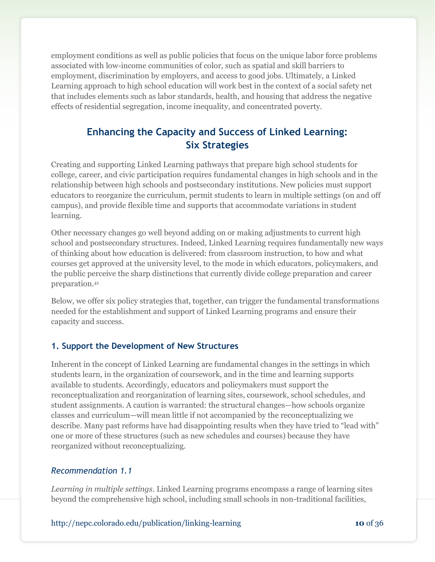employment conditions as well as public policies that focus on the unique labor force problems associated with low-income communities of color, such as spatial and skill barriers to employment, discrimination by employers, and access to good jobs. Ultimately, a Linked Learning approach to high school education will work best in the context of a social safety net that includes elements such as labor standards, health, and housing that address the negative effects of residential segregation, income inequality, and concentrated poverty.

# **Enhancing the Capacity and Success of Linked Learning: Six Strategies**

Creating and supporting Linked Learning pathways that prepare high school students for college, career, and civic participation requires fundamental changes in high schools and in the relationship between high schools and postsecondary institutions. New policies must support educators to reorganize the curriculum, permit students to learn in multiple settings (on and off campus), and provide flexible time and supports that accommodate variations in student learning.

Other necessary changes go well beyond adding on or making adjustments to current high school and postsecondary structures. Indeed, Linked Learning requires fundamentally new ways of thinking about how education is delivered: from classroom instruction, to how and what courses get approved at the university level, to the mode in which educators, policymakers, and the public perceive the sharp distinctions that currently divide college preparation and career preparation.<sup>41</sup>

Below, we offer six policy strategies that, together, can trigger the fundamental transformations needed for the establishment and support of Linked Learning programs and ensure their capacity and success.

## **1. Support the Development of New Structures**

Inherent in the concept of Linked Learning are fundamental changes in the settings in which students learn, in the organization of coursework, and in the time and learning supports available to students. Accordingly, educators and policymakers must support the reconceptualization and reorganization of learning sites, coursework, school schedules, and student assignments. A caution is warranted: the structural changes—how schools organize classes and curriculum—will mean little if not accompanied by the reconceptualizing we describe. Many past reforms have had disappointing results when they have tried to "lead with" one or more of these structures (such as new schedules and courses) because they have reorganized without reconceptualizing.

## *Recommendation 1.1*

*Learning in multiple settings*. Linked Learning programs encompass a range of learning sites beyond the comprehensive high school, including small schools in non-traditional facilities,

http://nepc.colorado.edu/publication/linking-learning **10** of 36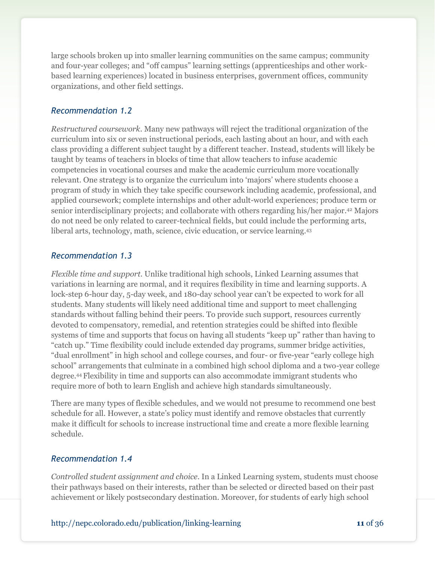large schools broken up into smaller learning communities on the same campus; community and four-year colleges; and "off campus" learning settings (apprenticeships and other workbased learning experiences) located in business enterprises, government offices, community organizations, and other field settings.

#### *Recommendation 1.2*

*Restructured coursework*. Many new pathways will reject the traditional organization of the curriculum into six or seven instructional periods, each lasting about an hour, and with each class providing a different subject taught by a different teacher. Instead, students will likely be taught by teams of teachers in blocks of time that allow teachers to infuse academic competencies in vocational courses and make the academic curriculum more vocationally relevant. One strategy is to organize the curriculum into 'majors' where students choose a program of study in which they take specific coursework including academic, professional, and applied coursework; complete internships and other adult-world experiences; produce term or senior interdisciplinary projects; and collaborate with others regarding his/her major.<sup>42</sup> Majors do not need be only related to career-technical fields, but could include the performing arts, liberal arts, technology, math, science, civic education, or service learning. 43

#### *Recommendation 1.3*

*Flexible time and support.* Unlike traditional high schools, Linked Learning assumes that variations in learning are normal, and it requires flexibility in time and learning supports. A lock-step 6-hour day, 5-day week, and 180-day school year can't be expected to work for all students. Many students will likely need additional time and support to meet challenging standards without falling behind their peers. To provide such support, resources currently devoted to compensatory, remedial, and retention strategies could be shifted into flexible systems of time and supports that focus on having all students "keep up" rather than having to ―catch up.‖ Time flexibility could include extended day programs, summer bridge activities, "dual enrollment" in high school and college courses, and four- or five-year "early college high school" arrangements that culminate in a combined high school diploma and a two-year college degree.<sup>44</sup> Flexibility in time and supports can also accommodate immigrant students who require more of both to learn English and achieve high standards simultaneously.

There are many types of flexible schedules, and we would not presume to recommend one best schedule for all. However, a state's policy must identify and remove obstacles that currently make it difficult for schools to increase instructional time and create a more flexible learning schedule.

#### *Recommendation 1.4*

*Controlled student assignment and choice.* In a Linked Learning system, students must choose their pathways based on their interests, rather than be selected or directed based on their past achievement or likely postsecondary destination. Moreover, for students of early high school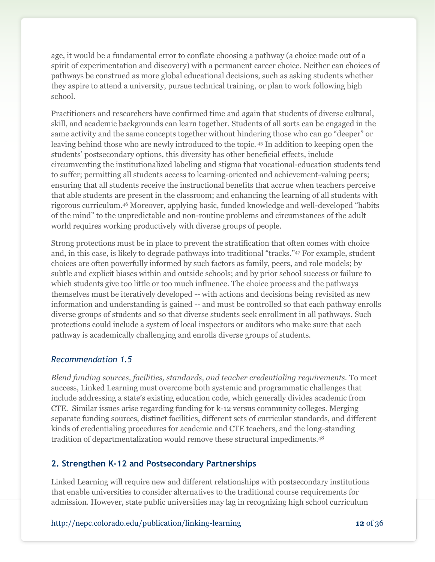age, it would be a fundamental error to conflate choosing a pathway (a choice made out of a spirit of experimentation and discovery) with a permanent career choice. Neither can choices of pathways be construed as more global educational decisions, such as asking students whether they aspire to attend a university, pursue technical training, or plan to work following high school.

Practitioners and researchers have confirmed time and again that students of diverse cultural, skill, and academic backgrounds can learn together. Students of all sorts can be engaged in the same activity and the same concepts together without hindering those who can go "deeper" or leaving behind those who are newly introduced to the topic. <sup>45</sup> In addition to keeping open the students' postsecondary options, this diversity has other beneficial effects, include circumventing the institutionalized labeling and stigma that vocational-education students tend to suffer; permitting all students access to learning-oriented and achievement-valuing peers; ensuring that all students receive the instructional benefits that accrue when teachers perceive that able students are present in the classroom; and enhancing the learning of all students with rigorous curriculum.<sup>46</sup> Moreover, applying basic, funded knowledge and well-developed "habits of the mind" to the unpredictable and non-routine problems and circumstances of the adult world requires working productively with diverse groups of people.

Strong protections must be in place to prevent the stratification that often comes with choice and, in this case, is likely to degrade pathways into traditional "tracks."<sup>47</sup> For example, student choices are often powerfully informed by such factors as family, peers, and role models; by subtle and explicit biases within and outside schools; and by prior school success or failure to which students give too little or too much influence. The choice process and the pathways themselves must be iteratively developed -- with actions and decisions being revisited as new information and understanding is gained -- and must be controlled so that each pathway enrolls diverse groups of students and so that diverse students seek enrollment in all pathways. Such protections could include a system of local inspectors or auditors who make sure that each pathway is academically challenging and enrolls diverse groups of students.

#### *Recommendation 1.5*

*Blend funding sources, facilities, standards, and teacher credentialing requirements.* To meet success, Linked Learning must overcome both systemic and programmatic challenges that include addressing a state's existing education code, which generally divides academic from CTE. Similar issues arise regarding funding for k-12 versus community colleges. Merging separate funding sources, distinct facilities, different sets of curricular standards, and different kinds of credentialing procedures for academic and CTE teachers, and the long-standing tradition of departmentalization would remove these structural impediments.<sup>48</sup>

#### **2. Strengthen K-12 and Postsecondary Partnerships**

Linked Learning will require new and different relationships with postsecondary institutions that enable universities to consider alternatives to the traditional course requirements for admission. However, state public universities may lag in recognizing high school curriculum

http://nepc.colorado.edu/publication/linking-learning **12** of 36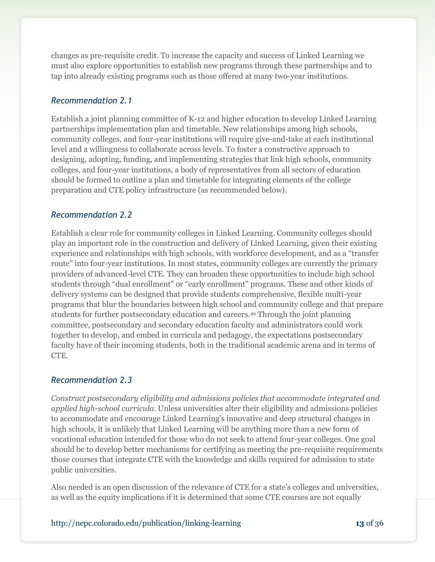changes as pre-requisite credit. To increase the capacity and success of Linked Learning we must also explore opportunities to establish new programs through these partnerships and to tap into already existing programs such as those offered at many two-year institutions.

### *Recommendation 2.1*

Establish a joint planning committee of K-12 and higher education to develop Linked Learning partnerships implementation plan and timetable. New relationships among high schools, community colleges, and four-year institutions will require give-and-take at each institutional level and a willingness to collaborate across levels. To foster a constructive approach to designing, adopting, funding, and implementing strategies that link high schools, community colleges, and four-year institutions, a body of representatives from all sectors of education should be formed to outline a plan and timetable for integrating elements of the college preparation and CTE policy infrastructure (as recommended below).

#### *Recommendation 2.2*

Establish a clear role for community colleges in Linked Learning. Community colleges should play an important role in the construction and delivery of Linked Learning, given their existing experience and relationships with high schools, with workforce development, and as a "transfer route" into four-year institutions. In most states, community colleges are currently the primary providers of advanced-level CTE. They can broaden these opportunities to include high school students through "dual enrollment" or "early enrollment" programs. These and other kinds of delivery systems can be designed that provide students comprehensive, flexible multi-year programs that blur the boundaries between high school and community college and that prepare students for further postsecondary education and careers.<sup>49</sup> Through the joint planning committee, postsecondary and secondary education faculty and administrators could work together to develop, and embed in curricula and pedagogy, the expectations postsecondary faculty have of their incoming students, both in the traditional academic arena and in terms of CTE.

## *Recommendation 2.3*

*Construct postsecondary eligibility and admissions policies that accommodate integrated and applied high-school curricula.* Unless universities alter their eligibility and admissions policies to accommodate and encourage Linked Learning's innovative and deep structural changes in high schools, it is unlikely that Linked Learning will be anything more than a new form of vocational education intended for those who do not seek to attend four-year colleges. One goal should be to develop better mechanisms for certifying as meeting the pre-requisite requirements those courses that integrate CTE with the knowledge and skills required for admission to state public universities.

Also needed is an open discussion of the relevance of CTE for a state's colleges and universities, as well as the equity implications if it is determined that some CTE courses are not equally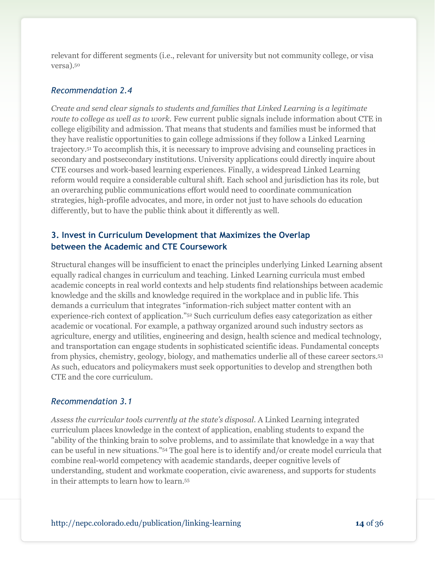relevant for different segments (i.e., relevant for university but not community college, or visa versa).<sup>50</sup>

#### *Recommendation 2.4*

*Create and send clear signals to students and families that Linked Learning is a legitimate route to college as well as to work.* Few current public signals include information about CTE in college eligibility and admission. That means that students and families must be informed that they have realistic opportunities to gain college admissions if they follow a Linked Learning trajectory.<sup>51</sup> To accomplish this, it is necessary to improve advising and counseling practices in secondary and postsecondary institutions. University applications could directly inquire about CTE courses and work-based learning experiences. Finally, a widespread Linked Learning reform would require a considerable cultural shift. Each school and jurisdiction has its role, but an overarching public communications effort would need to coordinate communication strategies, high-profile advocates, and more, in order not just to have schools do education differently, but to have the public think about it differently as well.

## **3. Invest in Curriculum Development that Maximizes the Overlap between the Academic and CTE Coursework**

Structural changes will be insufficient to enact the principles underlying Linked Learning absent equally radical changes in curriculum and teaching. Linked Learning curricula must embed academic concepts in real world contexts and help students find relationships between academic knowledge and the skills and knowledge required in the workplace and in public life. This demands a curriculum that integrates "information-rich subject matter content with an experience-rich context of application."<sup>52</sup> Such curriculum defies easy categorization as either academic or vocational. For example, a pathway organized around such industry sectors as agriculture, energy and utilities, engineering and design, health science and medical technology, and transportation can engage students in sophisticated scientific ideas. Fundamental concepts from physics, chemistry, geology, biology, and mathematics underlie all of these career sectors.<sup>53</sup> As such, educators and policymakers must seek opportunities to develop and strengthen both CTE and the core curriculum.

#### *Recommendation 3.1*

*Assess the curricular tools currently at the state's disposal*. A Linked Learning integrated curriculum places knowledge in the context of application, enabling students to expand the "ability of the thinking brain to solve problems, and to assimilate that knowledge in a way that can be useful in new situations."<sup>54</sup> The goal here is to identify and/or create model curricula that combine real-world competency with academic standards, deeper cognitive levels of understanding, student and workmate cooperation, civic awareness, and supports for students in their attempts to learn how to learn.55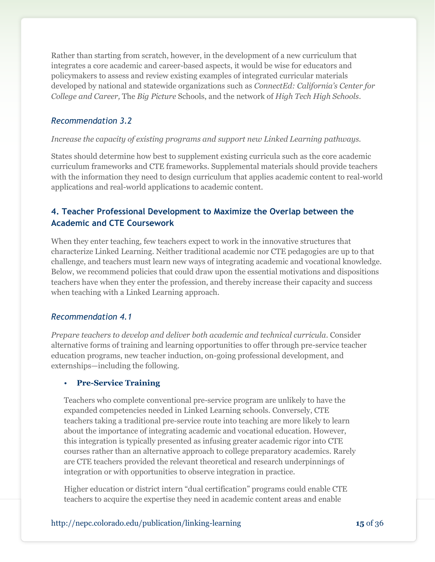Rather than starting from scratch, however, in the development of a new curriculum that integrates a core academic and career-based aspects, it would be wise for educators and policymakers to assess and review existing examples of integrated curricular materials developed by national and statewide organizations such as *ConnectEd: California's Center for College and Career,* The *Big Picture* Schools, and the network of *High Tech High Schools*.

#### *Recommendation 3.2*

#### *Increase the capacity of existing programs and support new Linked Learning pathways.*

States should determine how best to supplement existing curricula such as the core academic curriculum frameworks and CTE frameworks. Supplemental materials should provide teachers with the information they need to design curriculum that applies academic content to real-world applications and real-world applications to academic content.

# **4. Teacher Professional Development to Maximize the Overlap between the Academic and CTE Coursework**

When they enter teaching, few teachers expect to work in the innovative structures that characterize Linked Learning. Neither traditional academic nor CTE pedagogies are up to that challenge, and teachers must learn new ways of integrating academic and vocational knowledge. Below, we recommend policies that could draw upon the essential motivations and dispositions teachers have when they enter the profession, and thereby increase their capacity and success when teaching with a Linked Learning approach.

#### *Recommendation 4.1*

*Prepare teachers to develop and deliver both academic and technical curricula.* Consider alternative forms of training and learning opportunities to offer through pre-service teacher education programs, new teacher induction, on-going professional development, and externships—including the following.

#### • **Pre-Service Training**

Teachers who complete conventional pre-service program are unlikely to have the expanded competencies needed in Linked Learning schools. Conversely, CTE teachers taking a traditional pre-service route into teaching are more likely to learn about the importance of integrating academic and vocational education. However, this integration is typically presented as infusing greater academic rigor into CTE courses rather than an alternative approach to college preparatory academics. Rarely are CTE teachers provided the relevant theoretical and research underpinnings of integration or with opportunities to observe integration in practice.

Higher education or district intern "dual certification" programs could enable CTE teachers to acquire the expertise they need in academic content areas and enable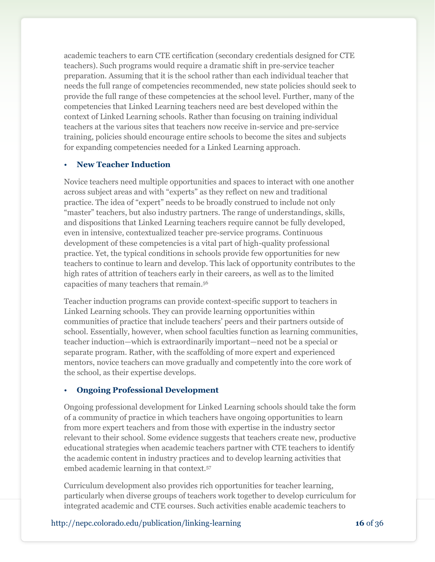academic teachers to earn CTE certification (secondary credentials designed for CTE teachers). Such programs would require a dramatic shift in pre-service teacher preparation. Assuming that it is the school rather than each individual teacher that needs the full range of competencies recommended, new state policies should seek to provide the full range of these competencies at the school level. Further, many of the competencies that Linked Learning teachers need are best developed within the context of Linked Learning schools. Rather than focusing on training individual teachers at the various sites that teachers now receive in-service and pre-service training, policies should encourage entire schools to become the sites and subjects for expanding competencies needed for a Linked Learning approach.

#### • **New Teacher Induction**

Novice teachers need multiple opportunities and spaces to interact with one another across subject areas and with "experts" as they reflect on new and traditional practice. The idea of "expert" needs to be broadly construed to include not only ―master‖ teachers, but also industry partners. The range of understandings, skills, and dispositions that Linked Learning teachers require cannot be fully developed, even in intensive, contextualized teacher pre-service programs. Continuous development of these competencies is a vital part of high-quality professional practice. Yet, the typical conditions in schools provide few opportunities for new teachers to continue to learn and develop. This lack of opportunity contributes to the high rates of attrition of teachers early in their careers, as well as to the limited capacities of many teachers that remain.<sup>56</sup>

Teacher induction programs can provide context-specific support to teachers in Linked Learning schools. They can provide learning opportunities within communities of practice that include teachers' peers and their partners outside of school. Essentially, however, when school faculties function as learning communities, teacher induction—which is extraordinarily important—need not be a special or separate program. Rather, with the scaffolding of more expert and experienced mentors, novice teachers can move gradually and competently into the core work of the school, as their expertise develops.

#### • **Ongoing Professional Development**

Ongoing professional development for Linked Learning schools should take the form of a community of practice in which teachers have ongoing opportunities to learn from more expert teachers and from those with expertise in the industry sector relevant to their school. Some evidence suggests that teachers create new, productive educational strategies when academic teachers partner with CTE teachers to identify the academic content in industry practices and to develop learning activities that embed academic learning in that context.<sup>57</sup>

Curriculum development also provides rich opportunities for teacher learning, particularly when diverse groups of teachers work together to develop curriculum for integrated academic and CTE courses. Such activities enable academic teachers to

#### http://nepc.colorado.edu/publication/linking-learning **16** of 36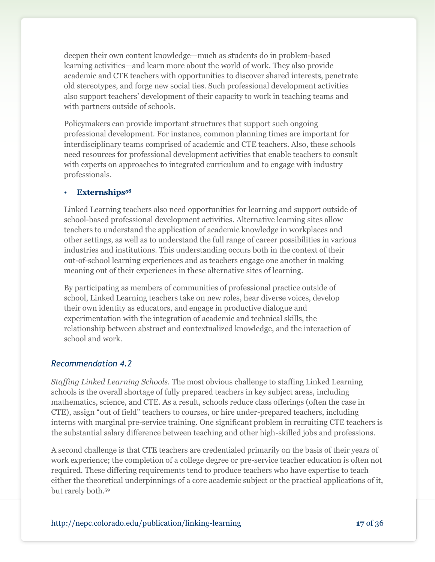deepen their own content knowledge—much as students do in problem-based learning activities—and learn more about the world of work. They also provide academic and CTE teachers with opportunities to discover shared interests, penetrate old stereotypes, and forge new social ties. Such professional development activities also support teachers' development of their capacity to work in teaching teams and with partners outside of schools.

Policymakers can provide important structures that support such ongoing professional development. For instance, common planning times are important for interdisciplinary teams comprised of academic and CTE teachers. Also, these schools need resources for professional development activities that enable teachers to consult with experts on approaches to integrated curriculum and to engage with industry professionals.

#### • **Externships<sup>58</sup>**

Linked Learning teachers also need opportunities for learning and support outside of school-based professional development activities. Alternative learning sites allow teachers to understand the application of academic knowledge in workplaces and other settings, as well as to understand the full range of career possibilities in various industries and institutions. This understanding occurs both in the context of their out-of-school learning experiences and as teachers engage one another in making meaning out of their experiences in these alternative sites of learning.

By participating as members of communities of professional practice outside of school, Linked Learning teachers take on new roles, hear diverse voices, develop their own identity as educators, and engage in productive dialogue and experimentation with the integration of academic and technical skills, the relationship between abstract and contextualized knowledge, and the interaction of school and work.

#### *Recommendation 4.2*

*Staffing Linked Learning Schools.* The most obvious challenge to staffing Linked Learning schools is the overall shortage of fully prepared teachers in key subject areas, including mathematics, science, and CTE. As a result, schools reduce class offerings (often the case in CTE), assign "out of field" teachers to courses, or hire under-prepared teachers, including interns with marginal pre-service training. One significant problem in recruiting CTE teachers is the substantial salary difference between teaching and other high-skilled jobs and professions.

A second challenge is that CTE teachers are credentialed primarily on the basis of their years of work experience; the completion of a college degree or pre-service teacher education is often not required. These differing requirements tend to produce teachers who have expertise to teach either the theoretical underpinnings of a core academic subject or the practical applications of it, but rarely both. 59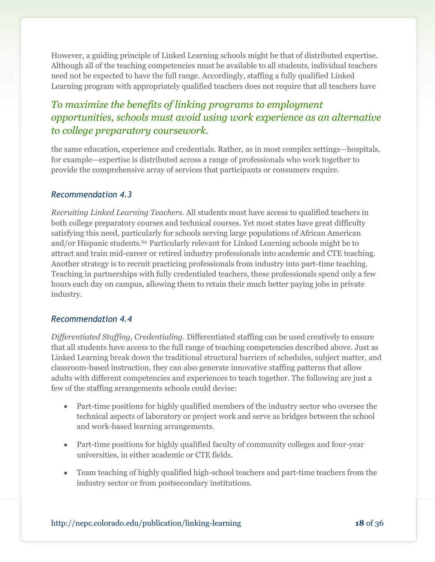However, a guiding principle of Linked Learning schools might be that of distributed expertise. Although all of the teaching competencies must be available to all students, individual teachers need not be expected to have the full range. Accordingly, staffing a fully qualified Linked Learning program with appropriately qualified teachers does not require that all teachers have

# *To maximize the benefits of linking programs to employment opportunities, schools must avoid using work experience as an alternative to college preparatory coursework.*

the same education, experience and credentials. Rather, as in most complex settings—hospitals, for example—expertise is distributed across a range of professionals who work together to provide the comprehensive array of services that participants or consumers require.

### *Recommendation 4.3*

*Recruiting Linked Learning Teachers.* All students must have access to qualified teachers in both college preparatory courses and technical courses. Yet most states have great difficulty satisfying this need, particularly for schools serving large populations of African American and/or Hispanic students.<sup>60</sup> Particularly relevant for Linked Learning schools might be to attract and train mid-career or retired industry professionals into academic and CTE teaching. Another strategy is to recruit practicing professionals from industry into part-time teaching. Teaching in partnerships with fully credentialed teachers, these professionals spend only a few hours each day on campus, allowing them to retain their much better paying jobs in private industry.

#### *Recommendation 4.4*

*Differentiated Staffing, Credentialing.* Differentiated staffing can be used creatively to ensure that all students have access to the full range of teaching competencies described above. Just as Linked Learning break down the traditional structural barriers of schedules, subject matter, and classroom-based instruction, they can also generate innovative staffing patterns that allow adults with different competencies and experiences to teach together. The following are just a few of the staffing arrangements schools could devise:

- Part-time positions for highly qualified members of the industry sector who oversee the technical aspects of laboratory or project work and serve as bridges between the school and work-based learning arrangements.
- Part-time positions for highly qualified faculty of community colleges and four-year universities, in either academic or CTE fields.
- Team teaching of highly qualified high-school teachers and part-time teachers from the industry sector or from postsecondary institutions.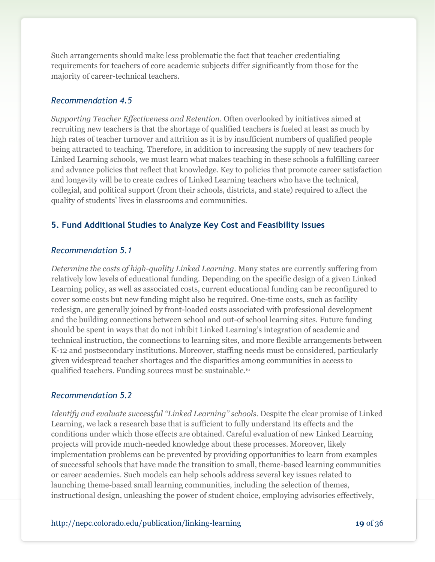Such arrangements should make less problematic the fact that teacher credentialing requirements for teachers of core academic subjects differ significantly from those for the majority of career-technical teachers.

#### *Recommendation 4.5*

*Supporting Teacher Effectiveness and Retention.* Often overlooked by initiatives aimed at recruiting new teachers is that the shortage of qualified teachers is fueled at least as much by high rates of teacher turnover and attrition as it is by insufficient numbers of qualified people being attracted to teaching. Therefore, in addition to increasing the supply of new teachers for Linked Learning schools, we must learn what makes teaching in these schools a fulfilling career and advance policies that reflect that knowledge. Key to policies that promote career satisfaction and longevity will be to create cadres of Linked Learning teachers who have the technical, collegial, and political support (from their schools, districts, and state) required to affect the quality of students' lives in classrooms and communities.

## **5. Fund Additional Studies to Analyze Key Cost and Feasibility Issues**

#### *Recommendation 5.1*

*Determine the costs of high-quality Linked Learning.* Many states are currently suffering from relatively low levels of educational funding. Depending on the specific design of a given Linked Learning policy, as well as associated costs, current educational funding can be reconfigured to cover some costs but new funding might also be required. One-time costs, such as facility redesign, are generally joined by front-loaded costs associated with professional development and the building connections between school and out-of school learning sites. Future funding should be spent in ways that do not inhibit Linked Learning's integration of academic and technical instruction, the connections to learning sites, and more flexible arrangements between K-12 and postsecondary institutions. Moreover, staffing needs must be considered, particularly given widespread teacher shortages and the disparities among communities in access to qualified teachers. Funding sources must be sustainable.<sup>61</sup>

#### *Recommendation 5.2*

*Identify and evaluate successful "Linked Learning" schools.* Despite the clear promise of Linked Learning, we lack a research base that is sufficient to fully understand its effects and the conditions under which those effects are obtained. Careful evaluation of new Linked Learning projects will provide much-needed knowledge about these processes. Moreover, likely implementation problems can be prevented by providing opportunities to learn from examples of successful schools that have made the transition to small, theme-based learning communities or career academies. Such models can help schools address several key issues related to launching theme-based small learning communities, including the selection of themes, instructional design, unleashing the power of student choice, employing advisories effectively,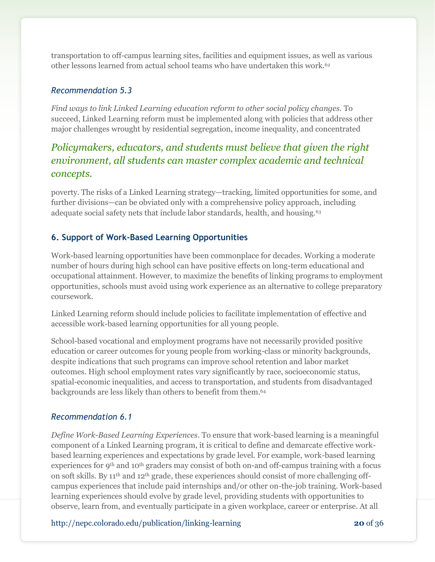transportation to off-campus learning sites, facilities and equipment issues, as well as various other lessons learned from actual school teams who have undertaken this work.<sup>62</sup>

## *Recommendation 5.3*

*Find ways to link Linked Learning education reform to other social policy changes.* To succeed, Linked Learning reform must be implemented along with policies that address other major challenges wrought by residential segregation, income inequality, and concentrated

# *Policymakers, educators, and students must believe that given the right environment, all students can master complex academic and technical concepts.*

poverty. The risks of a Linked Learning strategy—tracking, limited opportunities for some, and further divisions—can be obviated only with a comprehensive policy approach, including adequate social safety nets that include labor standards, health, and housing.<sup>63</sup>

## **6. Support of Work-Based Learning Opportunities**

Work-based learning opportunities have been commonplace for decades. Working a moderate number of hours during high school can have positive effects on long-term educational and occupational attainment. However, to maximize the benefits of linking programs to employment opportunities, schools must avoid using work experience as an alternative to college preparatory coursework.

Linked Learning reform should include policies to facilitate implementation of effective and accessible work-based learning opportunities for all young people.

School-based vocational and employment programs have not necessarily provided positive education or career outcomes for young people from working-class or minority backgrounds, despite indications that such programs can improve school retention and labor market outcomes. High school employment rates vary significantly by race, socioeconomic status, spatial-economic inequalities, and access to transportation, and students from disadvantaged backgrounds are less likely than others to benefit from them.<sup>64</sup>

## *Recommendation 6.1*

*Define Work-Based Learning Experiences*. To ensure that work-based learning is a meaningful component of a Linked Learning program, it is critical to define and demarcate effective workbased learning experiences and expectations by grade level. For example, work-based learning experiences for 9th and 10th graders may consist of both on-and off-campus training with a focus on soft skills. By 11th and 12th grade, these experiences should consist of more challenging offcampus experiences that include paid internships and/or other on-the-job training. Work-based learning experiences should evolve by grade level, providing students with opportunities to observe, learn from, and eventually participate in a given workplace, career or enterprise. At all

http://nepc.colorado.edu/publication/linking-learning **20** of 36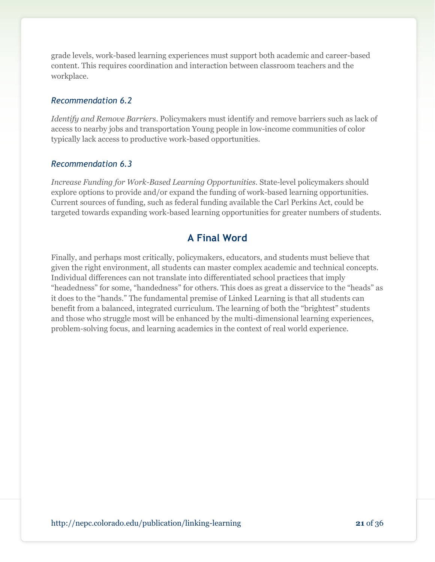grade levels, work-based learning experiences must support both academic and career-based content. This requires coordination and interaction between classroom teachers and the workplace.

### *Recommendation 6.2*

*Identify and Remove Barriers*. Policymakers must identify and remove barriers such as lack of access to nearby jobs and transportation Young people in low-income communities of color typically lack access to productive work-based opportunities.

### *Recommendation 6.3*

*Increase Funding for Work-Based Learning Opportunities.* State-level policymakers should explore options to provide and/or expand the funding of work-based learning opportunities. Current sources of funding, such as federal funding available the Carl Perkins Act, could be targeted towards expanding work-based learning opportunities for greater numbers of students.

# **A Final Word**

Finally, and perhaps most critically, policymakers, educators, and students must believe that given the right environment, all students can master complex academic and technical concepts. Individual differences can not translate into differentiated school practices that imply "headedness" for some, "handedness" for others. This does as great a disservice to the "heads" as it does to the "hands." The fundamental premise of Linked Learning is that all students can benefit from a balanced, integrated curriculum. The learning of both the "brightest" students and those who struggle most will be enhanced by the multi-dimensional learning experiences, problem-solving focus, and learning academics in the context of real world experience.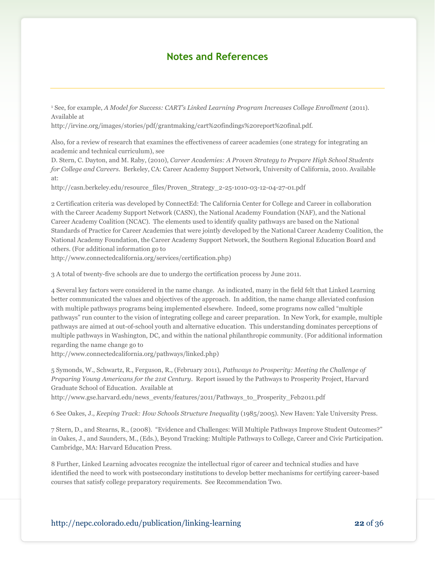## **Notes and References**

<sup>1</sup> See, for example, *A Model for Success: CART's Linked Learning Program Increases College Enrollment* (2011). Available at

http://irvine.org/images/stories/pdf/grantmaking/cart%20findings%20report%20final.pdf.

Also, for a review of research that examines the effectiveness of career academies (one strategy for integrating an academic and technical curriculum), see

D. Stern, C. Dayton, and M. Raby, (2010), *Career Academies: A Proven Strategy to Prepare High School Students for College and Careers*. Berkeley, CA: Career Academy Support Network, University of California, 2010. Available at:

http://casn.berkeley.edu/resource\_files/Proven\_Strategy\_2-25-1010-03-12-04-27-01.pdf

2 Certification criteria was developed by ConnectEd: The California Center for College and Career in collaboration with the Career Academy Support Network (CASN), the National Academy Foundation (NAF), and the National Career Academy Coalition (NCAC). The elements used to identify quality pathways are based on the National Standards of Practice for Career Academies that were jointly developed by the National Career Academy Coalition, the National Academy Foundation, the Career Academy Support Network, the Southern Regional Education Board and others. (For additional information go to

[http://www.connectedcalifornia.org/services/certification.php\)](http://www.connectedcalifornia.org/services/certification.php)

3 A total of twenty-five schools are due to undergo the certification process by June 2011.

4 Several key factors were considered in the name change. As indicated, many in the field felt that Linked Learning better communicated the values and objectives of the approach. In addition, the name change alleviated confusion with multiple pathways programs being implemented elsewhere. Indeed, some programs now called "multiple pathways‖ run counter to the vision of integrating college and career preparation. In New York, for example, multiple pathways are aimed at out-of-school youth and alternative education. This understanding dominates perceptions of multiple pathways in Washington, DC, and within the national philanthropic community. (For additional information regarding the name change go to

http://www.connectedcalifornia.org/pathways/linked.php)

5 Symonds, W., Schwartz, R., Ferguson, R., (February 2011), *Pathways to Prosperity: Meeting the Challenge of Preparing Young Americans for the 21st Century*. Report issued by the Pathways to Prosperity Project, Harvard Graduate School of Education. Available at

http://www.gse.harvard.edu/news\_events/features/2011/Pathways\_to\_Prosperity\_Feb2011.pdf

6 See Oakes, J., *Keeping Track: How Schools Structure Inequality* (1985/2005). New Haven: Yale University Press.

7 Stern, D., and Stearns, R., (2008). "Evidence and Challenges: Will Multiple Pathways Improve Student Outcomes?" in Oakes, J., and Saunders, M., (Eds.), Beyond Tracking: Multiple Pathways to College, Career and Civic Participation. Cambridge, MA: Harvard Education Press.

8 Further, Linked Learning advocates recognize the intellectual rigor of career and technical studies and have identified the need to work with postsecondary institutions to develop better mechanisms for certifying career-based courses that satisfy college preparatory requirements. See Recommendation Two.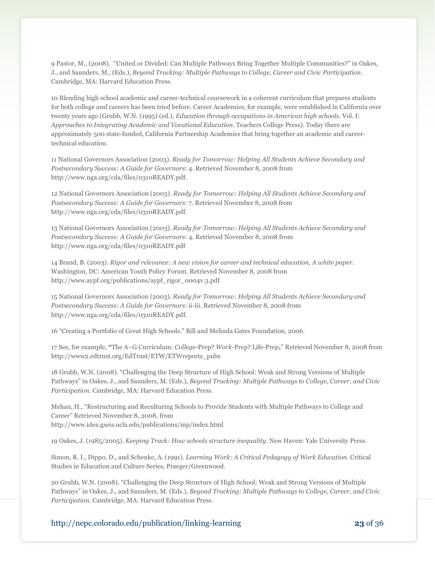9 Pastor, M., (2008). "United or Divided: Can Multiple Pathways Bring Together Multiple Communities?" in Oakes, J., and Saunders, M., (Eds.), *Beyond Tracking: Multiple Pathways to College, Career and Civic Participation*. Cambridge, MA: Harvard Education Press.

10 Blending high school academic and career-technical coursework in a coherent curriculum that prepares students for both college *and* careers has been tried before. Career Academies, for example, were established in California over twenty years ago (Grubb, W.N. (1995) (ed.), *Education through occupations in American high schools.* Vol. I: *Approaches to Integrating Academic and Vocational Education.* Teachers College Press). Today there are approximately 500 state-funded, California Partnership Academies that bring together an academic and careertechnical education.

11 National Governors Association (2003). *Ready for Tomorrow: Helping All Students Achieve Secondary and Postsecondary Success: A Guide for Governors*: 4. Retrieved November 8, 2008 from http://www.nga.org/cda/files/0310READY.pdf.

12 National Governors Association (2003). *Ready for Tomorrow: Helping All Students Achieve Secondary and Postsecondary Success: A Guide for Governors*: 7. Retrieved November 8, 2008 from http://www.nga.org/cda/files/0310READY.pdf.

13 National Governors Association (2003). *Ready for Tomorrow: Helping All Students Achieve Secondary and Postsecondary Success: A Guide for Governors*: 4. Retrieved November 8, 2008 from http://www.nga.org/cda/files/0310READY.pdf

14 Brand, B. (2003). *Rigor and relevance: A new vision for career and technical education, A white paper.*  Washington, DC: American Youth Policy Forum. Retrieved November 8, 2008 from http://www.aypf.org/publications/aypf\_rigor\_0004v.3.pdf

15 National Governors Association (2003). *Ready for Tomorrow: Helping All Students Achieve Secondary and Postsecondary Success: A Guide for Governors*: ii-iii. Retrieved November 8, 2008 from http://www.nga.org/cda/files/0310READY.pdf.

16 "Creating a Portfolio of Great High Schools." Bill and Melinda Gates Foundation, 2006.

17 See, for example, **"**The A–G Curriculum: *College*-Prep? *Work*-Prep? Life-Prep**,**‖ Retrieved November 8, 2008 from http://www2.edtrust.org/EdTrust/ETW/ETWreports\_pubs

18 Grubb, W.N. (2008). "Challenging the Deep Structure of High School: Weak and Strong Versions of Multiple Pathways" in Oakes, J., and Saunders, M. (Eds.), *Beyond Tracking: Multiple Pathways to College, Career, and Civic Participation*. Cambridge, MA: Harvard Education Press.

Mehan, H., "Restructuring and Reculturing Schools to Provide Students with Multiple Pathways to College and Career" Retrieved November 8, 2008, from http://www.idea.gseis.ucla.edu/publications/mp/index.html

19 Oakes, J. (1985/2005). *Keeping Track: How schools structure inequality*. New Haven: Yale University Press.

Simon, R. I., Dippo, D., and Schenke, A. (1991). *Learning Work: A Critical Pedagogy of Work Education.* Critical Studies in Education and Culture Series, Praeger/Greenwood.

20 Grubb, W.N. (2008). "Challenging the Deep Structure of High School: Weak and Strong Versions of Multiple Pathways" in Oakes, J., and Saunders, M. (Eds.), *Beyond Tracking: Multiple Pathways to College, Career, and Civic Participation*. Cambridge, MA: Harvard Education Press.

http://nepc.colorado.edu/publication/linking-learning **23** of 36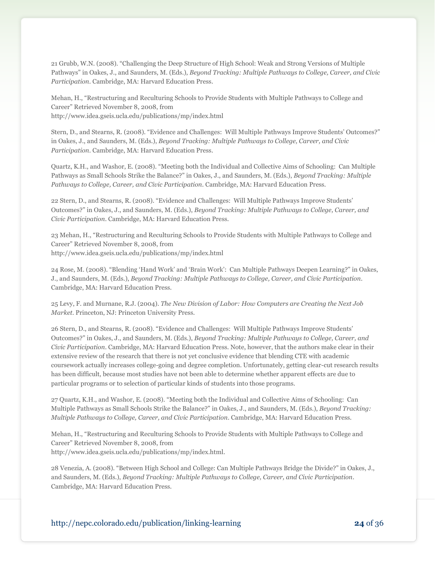21 Grubb, W.N. (2008). "Challenging the Deep Structure of High School: Weak and Strong Versions of Multiple Pathways" in Oakes, J., and Saunders, M. (Eds.), *Beyond Tracking: Multiple Pathways to College, Career, and Civic Participation*. Cambridge, MA: Harvard Education Press.

Mehan, H., "Restructuring and Reculturing Schools to Provide Students with Multiple Pathways to College and Career" Retrieved November 8, 2008, from http://www.idea.gseis.ucla.edu/publications/mp/index.html

Stern, D., and Stearns, R. (2008). "Evidence and Challenges: Will Multiple Pathways Improve Students' Outcomes?" in Oakes, J., and Saunders, M. (Eds.), *Beyond Tracking: Multiple Pathways to College, Career, and Civic Participation*. Cambridge, MA: Harvard Education Press.

Quartz, K.H., and Washor, E. (2008). "Meeting both the Individual and Collective Aims of Schooling: Can Multiple Pathways as Small Schools Strike the Balance?" in Oakes, J., and Saunders, M. (Eds.), *Beyond Tracking: Multiple Pathways to College, Career, and Civic Participation*. Cambridge, MA: Harvard Education Press.

22 Stern, D., and Stearns, R. (2008). "Evidence and Challenges: Will Multiple Pathways Improve Students' Outcomes?‖ in Oakes, J., and Saunders, M. (Eds.), *Beyond Tracking: Multiple Pathways to College, Career, and Civic Participation*. Cambridge, MA: Harvard Education Press.

23 Mehan, H., "Restructuring and Reculturing Schools to Provide Students with Multiple Pathways to College and Career" Retrieved November 8, 2008, from http://www.idea.gseis.ucla.edu/publications/mp/index.html

24 Rose, M. (2008). "Blending 'Hand Work' and 'Brain Work': Can Multiple Pathways Deepen Learning?" in Oakes, J., and Saunders, M. (Eds.), *Beyond Tracking: Multiple Pathways to College, Career, and Civic Participation*. Cambridge, MA: Harvard Education Press.

25 Levy, F. and Murnane, R.J. (2004). *The New Division of Labor: How Computers are Creating the Next Job Market*. Princeton, NJ: Princeton University Press.

26 Stern, D., and Stearns, R. (2008). ―Evidence and Challenges: Will Multiple Pathways Improve Students' Outcomes?‖ in Oakes, J., and Saunders, M. (Eds.), *Beyond Tracking: Multiple Pathways to College, Career, and Civic Participation*. Cambridge, MA: Harvard Education Press. Note, however, that the authors make clear in their extensive review of the research that there is not yet conclusive evidence that blending CTE with academic coursework actually increases college-going and degree completion. Unfortunately, getting clear-cut research results has been difficult, because most studies have not been able to determine whether apparent effects are due to particular programs or to selection of particular kinds of students into those programs.

27 Quartz, K.H., and Washor, E. (2008). "Meeting both the Individual and Collective Aims of Schooling: Can Multiple Pathways as Small Schools Strike the Balance?" in Oakes, J., and Saunders, M. (Eds.), *Beyond Tracking: Multiple Pathways to College, Career, and Civic Participation*. Cambridge, MA: Harvard Education Press.

Mehan, H., "Restructuring and Reculturing Schools to Provide Students with Multiple Pathways to College and Career" Retrieved November 8, 2008, from http://www.idea.gseis.ucla.edu/publications/mp/index.html.

28 Venezia, A. (2008). "Between High School and College: Can Multiple Pathways Bridge the Divide?" in Oakes, J., and Saunders, M. (Eds.), *Beyond Tracking: Multiple Pathways to College, Career, and Civic Participation*. Cambridge, MA: Harvard Education Press.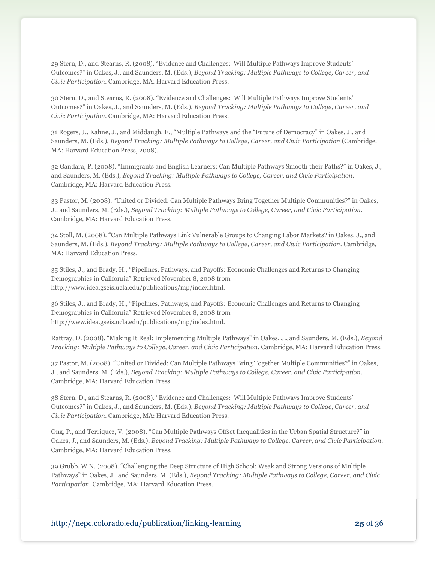29 Stern, D., and Stearns, R. (2008). "Evidence and Challenges: Will Multiple Pathways Improve Students' Outcomes?‖ in Oakes, J., and Saunders, M. (Eds.), *Beyond Tracking: Multiple Pathways to College, Career, and Civic Participation*. Cambridge, MA: Harvard Education Press.

30 Stern, D., and Stearns, R. (2008). ―Evidence and Challenges: Will Multiple Pathways Improve Students' Outcomes?‖ in Oakes, J., and Saunders, M. (Eds.), *Beyond Tracking: Multiple Pathways to College, Career, and Civic Participation*. Cambridge, MA: Harvard Education Press.

31 Rogers, J., Kahne, J., and Middaugh, E., "Multiple Pathways and the "Future of Democracy" in Oakes, J., and Saunders, M. (Eds.), *Beyond Tracking: Multiple Pathways to College, Career, and Civic Participation* (Cambridge, MA: Harvard Education Press, 2008).

32 Gandara, P. (2008). "Immigrants and English Learners: Can Multiple Pathways Smooth their Paths?" in Oakes, J., and Saunders, M. (Eds.), *Beyond Tracking: Multiple Pathways to College, Career, and Civic Participation*. Cambridge, MA: Harvard Education Press.

33 Pastor, M. (2008). "United or Divided: Can Multiple Pathways Bring Together Multiple Communities?" in Oakes, J., and Saunders, M. (Eds.), *Beyond Tracking: Multiple Pathways to College, Career, and Civic Participation*. Cambridge, MA: Harvard Education Press.

34 Stoll, M. (2008). "Can Multiple Pathways Link Vulnerable Groups to Changing Labor Markets? in Oakes, J., and Saunders, M. (Eds.), *Beyond Tracking: Multiple Pathways to College, Career, and Civic Participation*. Cambridge, MA: Harvard Education Press.

35 Stiles, J., and Brady, H., ―Pipelines, Pathways, and Payoffs: Economic Challenges and Returns to Changing Demographics in California" Retrieved November 8, 2008 from http://www.idea.gseis.ucla.edu/publications/mp/index.html.

36 Stiles, J., and Brady, H., ―Pipelines, Pathways, and Payoffs: Economic Challenges and Returns to Changing Demographics in California" Retrieved November 8, 2008 from http://www.idea.gseis.ucla.edu/publications/mp/index.html.

Rattray, D. (2008). "Making It Real: Implementing Multiple Pathways" in Oakes, J., and Saunders, M. (Eds.), *Beyond Tracking: Multiple Pathways to College, Career, and Civic Participation.* Cambridge, MA: Harvard Education Press.

37 Pastor, M. (2008). "United or Divided: Can Multiple Pathways Bring Together Multiple Communities?" in Oakes, J., and Saunders, M. (Eds.), *Beyond Tracking: Multiple Pathways to College, Career, and Civic Participation*. Cambridge, MA: Harvard Education Press.

38 Stern, D., and Stearns, R. (2008). "Evidence and Challenges: Will Multiple Pathways Improve Students' Outcomes?‖ in Oakes, J., and Saunders, M. (Eds.), *Beyond Tracking: Multiple Pathways to College, Career, and Civic Participation*. Cambridge, MA: Harvard Education Press.

Ong, P., and Terriquez, V. (2008). "Can Multiple Pathways Offset Inequalities in the Urban Spatial Structure?" in Oakes, J., and Saunders, M. (Eds.), *Beyond Tracking: Multiple Pathways to College, Career, and Civic Participation*. Cambridge, MA: Harvard Education Press.

39 Grubb, W.N. (2008). "Challenging the Deep Structure of High School: Weak and Strong Versions of Multiple Pathways" in Oakes, J., and Saunders, M. (Eds.), *Beyond Tracking: Multiple Pathways to College, Career, and Civic Participation*. Cambridge, MA: Harvard Education Press.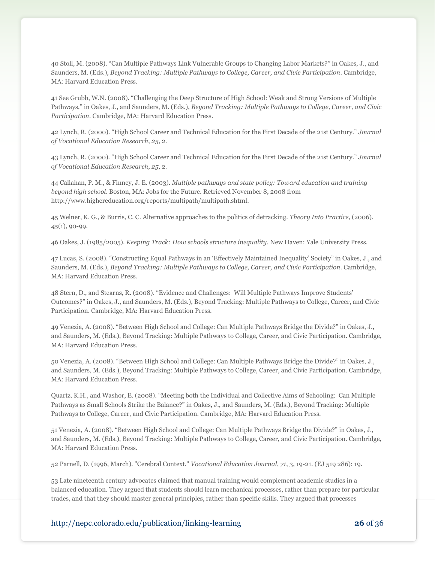40 Stoll, M. (2008). "Can Multiple Pathways Link Vulnerable Groups to Changing Labor Markets?" in Oakes, J., and Saunders, M. (Eds.), *Beyond Tracking: Multiple Pathways to College, Career, and Civic Participation*. Cambridge, MA: Harvard Education Press.

41 See Grubb, W.N. (2008). "Challenging the Deep Structure of High School: Weak and Strong Versions of Multiple Pathways," in Oakes, J., and Saunders, M. (Eds.), *Beyond Tracking: Multiple Pathways to College, Career, and Civic Participation*. Cambridge, MA: Harvard Education Press.

42 Lynch, R. (2000). "High School Career and Technical Education for the First Decade of the 21st Century." *Journal of Vocational Education Research*, *25*, 2.

43 Lynch, R. (2000). "High School Career and Technical Education for the First Decade of the 21st Century." *Journal of Vocational Education Research*, *25*, 2.

44 Callahan, P. M., & Finney, J. E. (2003). *Multiple pathways and state policy: Toward education and training beyond high school*. Boston, MA: Jobs for the Future. Retrieved November 8, 2008 from http://www.highereducation.org/reports/multipath/multipath.shtml.

45 Welner, K. G., & Burris, C. C. Alternative approaches to the politics of detracking. *Theory Into Practice*, (2006). *45*(1), 90-99.

46 Oakes, J. (1985/2005). *Keeping Track: How schools structure inequality*. New Haven: Yale University Press.

47 Lucas, S. (2008). "Constructing Equal Pathways in an 'Effectively Maintained Inequality' Society" in Oakes, J., and Saunders, M. (Eds.), *Beyond Tracking: Multiple Pathways to College, Career, and Civic Participation*. Cambridge, MA: Harvard Education Press.

48 Stern, D., and Stearns, R. (2008). "Evidence and Challenges: Will Multiple Pathways Improve Students' Outcomes?‖ in Oakes, J., and Saunders, M. (Eds.), Beyond Tracking: Multiple Pathways to College, Career, and Civic Participation. Cambridge, MA: Harvard Education Press.

49 Venezia, A. (2008). "Between High School and College: Can Multiple Pathways Bridge the Divide?" in Oakes, J., and Saunders, M. (Eds.), Beyond Tracking: Multiple Pathways to College, Career, and Civic Participation. Cambridge, MA: Harvard Education Press.

50 Venezia, A. (2008). ―Between High School and College: Can Multiple Pathways Bridge the Divide?‖ in Oakes, J., and Saunders, M. (Eds.), Beyond Tracking: Multiple Pathways to College, Career, and Civic Participation. Cambridge, MA: Harvard Education Press.

Quartz, K.H., and Washor, E. (2008). "Meeting both the Individual and Collective Aims of Schooling: Can Multiple Pathways as Small Schools Strike the Balance?" in Oakes, J., and Saunders, M. (Eds.), Beyond Tracking: Multiple Pathways to College, Career, and Civic Participation. Cambridge, MA: Harvard Education Press.

51 Venezia, A. (2008). "Between High School and College: Can Multiple Pathways Bridge the Divide?" in Oakes, J., and Saunders, M. (Eds.), Beyond Tracking: Multiple Pathways to College, Career, and Civic Participation. Cambridge, MA: Harvard Education Press.

52 Parnell, D. (1996, March). "Cerebral Context." *Vocational Education Journal*, *71*, 3, 19-21. (EJ 519 286): 19.

53 Late nineteenth century advocates claimed that manual training would complement academic studies in a balanced education. They argued that students should learn mechanical processes, rather than prepare for particular trades, and that they should master general principles, rather than specific skills. They argued that processes

http://nepc.colorado.edu/publication/linking-learning **26** of 36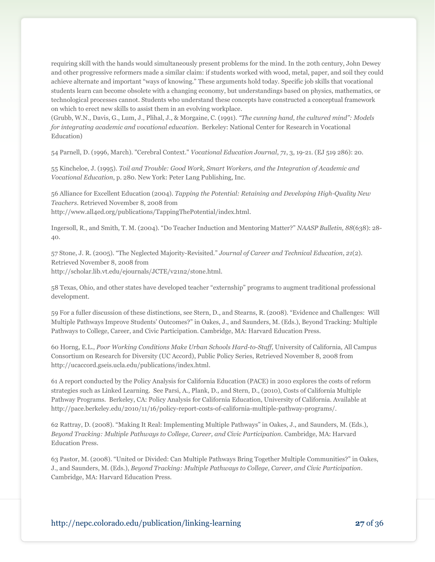requiring skill with the hands would simultaneously present problems for the mind. In the 20th century, John Dewey and other progressive reformers made a similar claim: if students worked with wood, metal, paper, and soil they could achieve alternate and important "ways of knowing." These arguments hold today. Specific job skills that vocational students learn can become obsolete with a changing economy, but understandings based on physics, mathematics, or technological processes cannot. Students who understand these concepts have constructed a conceptual framework on which to erect new skills to assist them in an evolving workplace.

(Grubb, W.N., Davis, G., Lum, J., Plihal, J., & Morgaine, C. (1991). *"The cunning hand, the cultured mind": Models for integrating academic and vocational education*. Berkeley: National Center for Research in Vocational Education)

54 Parnell, D. (1996, March). "Cerebral Context." *Vocational Education Journal*, *71*, 3, 19-21. (EJ 519 286): 20.

55 Kincheloe, J. (1995). *Toil and Trouble: Good Work, Smart Workers, and the Integration of Academic and Vocational Education*, p. 280. New York: Peter Lang Publishing, Inc.

56 Alliance for Excellent Education (2004). *Tapping the Potential: Retaining and Developing High-Quality New Teachers*. Retrieved November 8, 2008 from http://www.all4ed.org/publications/TappingThePotential/index.html.

Ingersoll, R., and Smith, T. M. (2004). "Do Teacher Induction and Mentoring Matter?" *NAASP Bulletin, 88*(638): 28-40.

57 Stone, J. R. (2005). "The Neglected Majority-Revisited." *Journal of Career and Technical Education*, *21*(2). Retrieved November 8, 2008 from http://scholar.lib.vt.edu/ejournals/JCTE/v21n2/stone.html.

58 Texas, Ohio, and other states have developed teacher "externship" programs to augment traditional professional development.

59 For a fuller discussion of these distinctions, see Stern, D., and Stearns, R. (2008). "Evidence and Challenges: Will Multiple Pathways Improve Students' Outcomes?" in Oakes, J., and Saunders, M. (Eds.), Beyond Tracking: Multiple Pathways to College, Career, and Civic Participation. Cambridge, MA: Harvard Education Press.

60 Horng, E.L., *Poor Working Conditions Make Urban Schools Hard-to-Staff,* University of California, All Campus Consortium on Research for Diversity (UC Accord), Public Policy Series, Retrieved November 8, 2008 from http://ucaccord.gseis.ucla.edu/publications/index.html.

61 A report conducted by the Policy Analysis for California Education (PACE) in 2010 explores the costs of reform strategies such as Linked Learning. See Parsi, A., Plank, D., and Stern, D., (2010), Costs of California Multiple Pathway Programs. Berkeley, CA: Policy Analysis for California Education, University of California. Available at http://pace.berkeley.edu/2010/11/16/policy-report-costs-of-california-multiple-pathway-programs/.

62 Rattray, D. (2008). "Making It Real: Implementing Multiple Pathways" in Oakes, J., and Saunders, M. (Eds.), *Beyond Tracking: Multiple Pathways to College, Career, and Civic Participation.* Cambridge, MA: Harvard Education Press.

63 Pastor, M. (2008). "United or Divided: Can Multiple Pathways Bring Together Multiple Communities?" in Oakes, J., and Saunders, M. (Eds.), *Beyond Tracking: Multiple Pathways to College, Career, and Civic Participation*. Cambridge, MA: Harvard Education Press.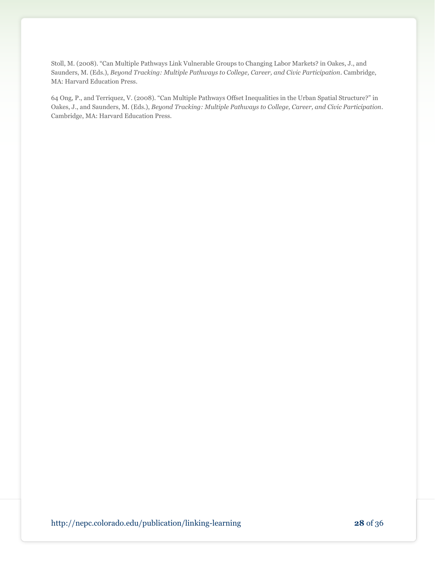Stoll, M. (2008). "Can Multiple Pathways Link Vulnerable Groups to Changing Labor Markets? in Oakes, J., and Saunders, M. (Eds.), *Beyond Tracking: Multiple Pathways to College, Career, and Civic Participation*. Cambridge, MA: Harvard Education Press.

64 Ong, P., and Terriquez, V. (2008). "Can Multiple Pathways Offset Inequalities in the Urban Spatial Structure?" in Oakes, J., and Saunders, M. (Eds.), *Beyond Tracking: Multiple Pathways to College, Career, and Civic Participation*. Cambridge, MA: Harvard Education Press.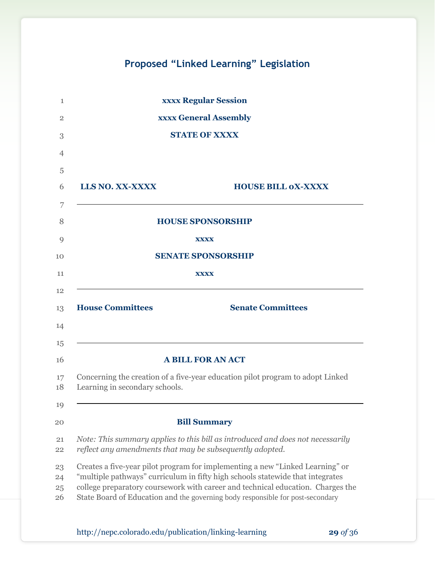# **Proposed "Linked Learning" Legislation**

| 1                    | <b>xxxx Regular Session</b>                                                                                                                                                                                                                                                                                                          |
|----------------------|--------------------------------------------------------------------------------------------------------------------------------------------------------------------------------------------------------------------------------------------------------------------------------------------------------------------------------------|
| $\overline{2}$       | <b>xxxx General Assembly</b>                                                                                                                                                                                                                                                                                                         |
| 3                    | <b>STATE OF XXXX</b>                                                                                                                                                                                                                                                                                                                 |
| $\overline{4}$       |                                                                                                                                                                                                                                                                                                                                      |
| 5                    |                                                                                                                                                                                                                                                                                                                                      |
| 6                    | LLS NO. XX-XXXX<br><b>HOUSE BILL OX-XXXX</b>                                                                                                                                                                                                                                                                                         |
| 7                    |                                                                                                                                                                                                                                                                                                                                      |
| 8                    | <b>HOUSE SPONSORSHIP</b>                                                                                                                                                                                                                                                                                                             |
| 9                    | <b>XXXX</b>                                                                                                                                                                                                                                                                                                                          |
| 10                   | <b>SENATE SPONSORSHIP</b>                                                                                                                                                                                                                                                                                                            |
| 11                   | <b>XXXX</b>                                                                                                                                                                                                                                                                                                                          |
| 12<br>13<br>14<br>15 | <b>House Committees</b><br><b>Senate Committees</b>                                                                                                                                                                                                                                                                                  |
| 16                   | <b>A BILL FOR AN ACT</b>                                                                                                                                                                                                                                                                                                             |
| 17<br>18             | Concerning the creation of a five-year education pilot program to adopt Linked<br>Learning in secondary schools.                                                                                                                                                                                                                     |
| 19                   |                                                                                                                                                                                                                                                                                                                                      |
| 20                   | <b>Bill Summary</b>                                                                                                                                                                                                                                                                                                                  |
| 21<br>22             | Note: This summary applies to this bill as introduced and does not necessarily<br>reflect any amendments that may be subsequently adopted.                                                                                                                                                                                           |
| 23<br>24<br>25<br>26 | Creates a five-year pilot program for implementing a new "Linked Learning" or<br>"multiple pathways" curriculum in fifty high schools statewide that integrates<br>college preparatory coursework with career and technical education. Charges the<br>State Board of Education and the governing body responsible for post-secondary |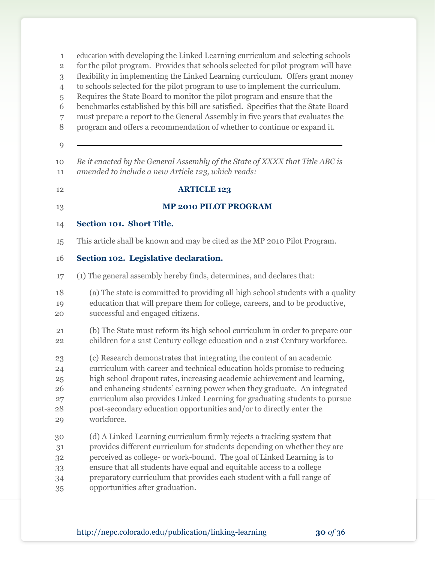| $\mathbf{1}$<br>$\overline{\mathbf{2}}$<br>3<br>$\overline{4}$<br>5<br>6<br>7<br>8<br>9 | education with developing the Linked Learning curriculum and selecting schools<br>for the pilot program. Provides that schools selected for pilot program will have<br>flexibility in implementing the Linked Learning curriculum. Offers grant money<br>to schools selected for the pilot program to use to implement the curriculum.<br>Requires the State Board to monitor the pilot program and ensure that the<br>benchmarks established by this bill are satisfied. Specifies that the State Board<br>must prepare a report to the General Assembly in five years that evaluates the<br>program and offers a recommendation of whether to continue or expand it. |
|-----------------------------------------------------------------------------------------|------------------------------------------------------------------------------------------------------------------------------------------------------------------------------------------------------------------------------------------------------------------------------------------------------------------------------------------------------------------------------------------------------------------------------------------------------------------------------------------------------------------------------------------------------------------------------------------------------------------------------------------------------------------------|
| 10<br>11                                                                                | Be it enacted by the General Assembly of the State of XXXX that Title ABC is<br>amended to include a new Article 123, which reads:                                                                                                                                                                                                                                                                                                                                                                                                                                                                                                                                     |
| 12                                                                                      | <b>ARTICLE 123</b>                                                                                                                                                                                                                                                                                                                                                                                                                                                                                                                                                                                                                                                     |
| 13                                                                                      | <b>MP 2010 PILOT PROGRAM</b>                                                                                                                                                                                                                                                                                                                                                                                                                                                                                                                                                                                                                                           |
| 14                                                                                      | Section 101. Short Title.                                                                                                                                                                                                                                                                                                                                                                                                                                                                                                                                                                                                                                              |
| 15                                                                                      | This article shall be known and may be cited as the MP 2010 Pilot Program.                                                                                                                                                                                                                                                                                                                                                                                                                                                                                                                                                                                             |
| 16                                                                                      | Section 102. Legislative declaration.                                                                                                                                                                                                                                                                                                                                                                                                                                                                                                                                                                                                                                  |
| 17                                                                                      | (1) The general assembly hereby finds, determines, and declares that:                                                                                                                                                                                                                                                                                                                                                                                                                                                                                                                                                                                                  |
| 18<br>19<br>20                                                                          | (a) The state is committed to providing all high school students with a quality<br>education that will prepare them for college, careers, and to be productive,<br>successful and engaged citizens.                                                                                                                                                                                                                                                                                                                                                                                                                                                                    |
| 21<br>22                                                                                | (b) The State must reform its high school curriculum in order to prepare our<br>children for a 21st Century college education and a 21st Century workforce.                                                                                                                                                                                                                                                                                                                                                                                                                                                                                                            |
| 23<br>24<br>25<br>26<br>27<br>28<br>29                                                  | (c) Research demonstrates that integrating the content of an academic<br>curriculum with career and technical education holds promise to reducing<br>high school dropout rates, increasing academic achievement and learning,<br>and enhancing students' earning power when they graduate. An integrated<br>curriculum also provides Linked Learning for graduating students to pursue<br>post-secondary education opportunities and/or to directly enter the<br>workforce.                                                                                                                                                                                            |
| 30<br>31<br>32<br>33<br>34<br>35                                                        | (d) A Linked Learning curriculum firmly rejects a tracking system that<br>provides different curriculum for students depending on whether they are<br>perceived as college- or work-bound. The goal of Linked Learning is to<br>ensure that all students have equal and equitable access to a college<br>preparatory curriculum that provides each student with a full range of<br>opportunities after graduation.                                                                                                                                                                                                                                                     |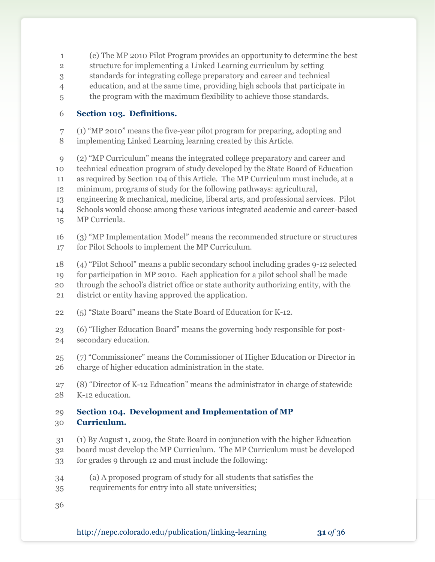- (e) The MP 2010 Pilot Program provides an opportunity to determine the best
- structure for implementing a Linked Learning curriculum by setting
- standards for integrating college preparatory and career and technical
- education, and at the same time, providing high schools that participate in
- the program with the maximum flexibility to achieve those standards.

### **Section 103. Definitions.**

- 7 (1) "MP 2010" means the five-year pilot program for preparing, adopting and implementing Linked Learning learning created by this Article.
- 9 (2) "MP Curriculum" means the integrated college preparatory and career and technical education program of study developed by the State Board of Education as required by Section 104 of this Article. The MP Curriculum must include, at a minimum, programs of study for the following pathways: agricultural, engineering & mechanical, medicine, liberal arts, and professional services. Pilot
- Schools would choose among these various integrated academic and career-based MP Curricula.
- 16 (3) "MP Implementation Model" means the recommended structure or structures for Pilot Schools to implement the MP Curriculum.
- (4) ―Pilot School‖ means a public secondary school including grades 9-12 selected for participation in MP 2010. Each application for a pilot school shall be made through the school's district office or state authority authorizing entity, with the district or entity having approved the application.
- 22 (5) "State Board" means the State Board of Education for K-12.
- 23 (6) "Higher Education Board" means the governing body responsible for post-secondary education.
- 25 (7) "Commissioner" means the Commissioner of Higher Education or Director in charge of higher education administration in the state.
- 27 (8) "Director of K-12 Education" means the administrator in charge of statewide K-12 education.

#### **Section 104. Development and Implementation of MP Curriculum.**

- (1) By August 1, 2009, the State Board in conjunction with the higher Education
- board must develop the MP Curriculum. The MP Curriculum must be developed
- for grades 9 through 12 and must include the following:
- (a) A proposed program of study for all students that satisfies the
- requirements for entry into all state universities;
-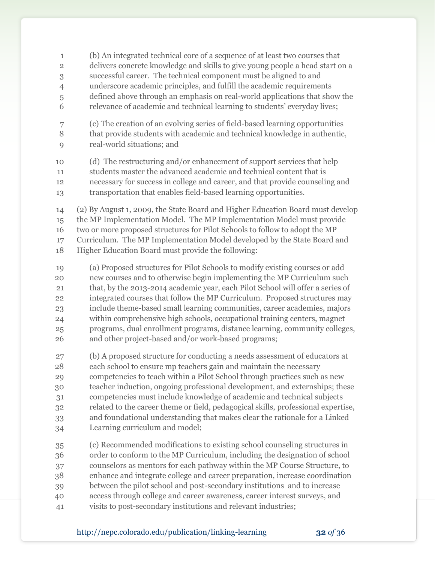(b) An integrated technical core of a sequence of at least two courses that delivers concrete knowledge and skills to give young people a head start on a successful career. The technical component must be aligned to and underscore academic principles, and fulfill the academic requirements defined above through an emphasis on real-world applications that show the relevance of academic and technical learning to students' everyday lives; (c) The creation of an evolving series of field-based learning opportunities that provide students with academic and technical knowledge in authentic, real-world situations; and (d) The restructuring and/or enhancement of support services that help students master the advanced academic and technical content that is necessary for success in college and career, and that provide counseling and transportation that enables field-based learning opportunities. (2) By August 1, 2009, the State Board and Higher Education Board must develop the MP Implementation Model. The MP Implementation Model must provide two or more proposed structures for Pilot Schools to follow to adopt the MP Curriculum. The MP Implementation Model developed by the State Board and Higher Education Board must provide the following: (a) Proposed structures for Pilot Schools to modify existing courses or add new courses and to otherwise begin implementing the MP Curriculum such that, by the 2013-2014 academic year, each Pilot School will offer a series of integrated courses that follow the MP Curriculum. Proposed structures may include theme-based small learning communities, career academies, majors within comprehensive high schools, occupational training centers, magnet programs, dual enrollment programs, distance learning, community colleges, and other project-based and/or work-based programs; (b) A proposed structure for conducting a needs assessment of educators at each school to ensure mp teachers gain and maintain the necessary competencies to teach within a Pilot School through practices such as new teacher induction, ongoing professional development, and externships; these competencies must include knowledge of academic and technical subjects related to the career theme or field, pedagogical skills, professional expertise, and foundational understanding that makes clear the rationale for a Linked Learning curriculum and model; (c) Recommended modifications to existing school counseling structures in order to conform to the MP Curriculum, including the designation of school counselors as mentors for each pathway within the MP Course Structure, to enhance and integrate college and career preparation, increase coordination between the pilot school and post-secondary institutions and to increase access through college and career awareness, career interest surveys, and visits to post-secondary institutions and relevant industries;

$$
\mathbf{32}\text{ of }36
$$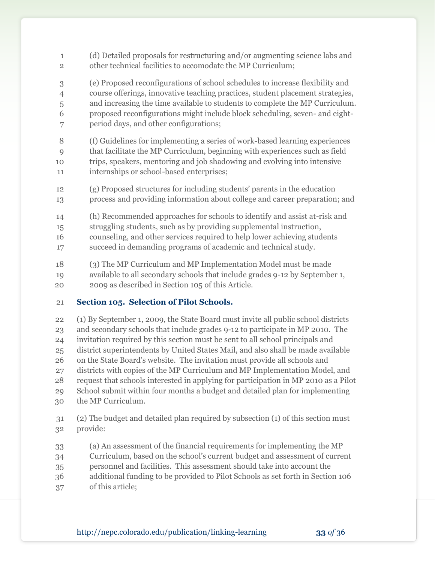- (d) Detailed proposals for restructuring and/or augmenting science labs and other technical facilities to accomodate the MP Curriculum; (e) Proposed reconfigurations of school schedules to increase flexibility and course offerings, innovative teaching practices, student placement strategies, and increasing the time available to students to complete the MP Curriculum. proposed reconfigurations might include block scheduling, seven- and eight- period days, and other configurations; (f) Guidelines for implementing a series of work-based learning experiences that facilitate the MP Curriculum, beginning with experiences such as field trips, speakers, mentoring and job shadowing and evolving into intensive internships or school-based enterprises; (g) Proposed structures for including students' parents in the education process and providing information about college and career preparation; and (h) Recommended approaches for schools to identify and assist at-risk and struggling students, such as by providing supplemental instruction, counseling, and other services required to help lower achieving students succeed in demanding programs of academic and technical study. (3) The MP Curriculum and MP Implementation Model must be made available to all secondary schools that include grades 9-12 by September 1, 2009 as described in Section 105 of this Article.
- **Section 105. Selection of Pilot Schools.**

 (1) By September 1, 2009, the State Board must invite all public school districts and secondary schools that include grades 9-12 to participate in MP 2010. The invitation required by this section must be sent to all school principals and district superintendents by United States Mail, and also shall be made available on the State Board's website. The invitation must provide all schools and districts with copies of the MP Curriculum and MP Implementation Model, and request that schools interested in applying for participation in MP 2010 as a Pilot School submit within four months a budget and detailed plan for implementing the MP Curriculum.

- (2) The budget and detailed plan required by subsection (1) of this section must provide:
- (a) An assessment of the financial requirements for implementing the MP Curriculum, based on the school's current budget and assessment of current
- personnel and facilities. This assessment should take into account the
- additional funding to be provided to Pilot Schools as set forth in Section 106
- of this article;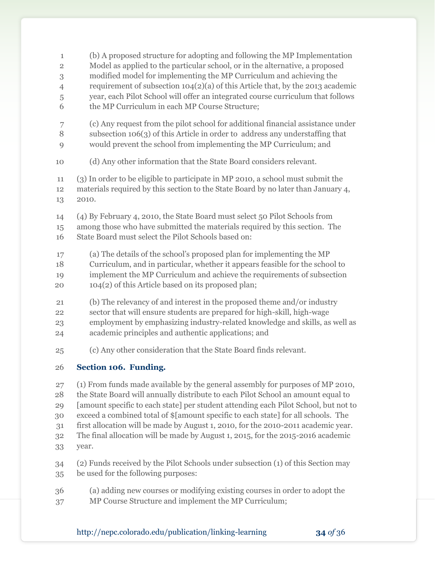| $\mathbf{1}$   | (b) A proposed structure for adopting and following the MP Implementation           |
|----------------|-------------------------------------------------------------------------------------|
| $\overline{2}$ | Model as applied to the particular school, or in the alternative, a proposed        |
| $\,3$          | modified model for implementing the MP Curriculum and achieving the                 |
| $\overline{4}$ | requirement of subsection $104(2)(a)$ of this Article that, by the 2013 academic    |
| 5              | year, each Pilot School will offer an integrated course curriculum that follows     |
| 6              | the MP Curriculum in each MP Course Structure;                                      |
| 7              | (c) Any request from the pilot school for additional financial assistance under     |
| 8              | subsection 106(3) of this Article in order to address any understaffing that        |
| 9              | would prevent the school from implementing the MP Curriculum; and                   |
| 10             | (d) Any other information that the State Board considers relevant.                  |
| $11\,$         | (3) In order to be eligible to participate in MP 2010, a school must submit the     |
| 12             | materials required by this section to the State Board by no later than January 4,   |
| 13             | 2010.                                                                               |
| 14             | (4) By February 4, 2010, the State Board must select 50 Pilot Schools from          |
| 15             | among those who have submitted the materials required by this section. The          |
| 16             | State Board must select the Pilot Schools based on:                                 |
| 17             | (a) The details of the school's proposed plan for implementing the MP               |
| 18             | Curriculum, and in particular, whether it appears feasible for the school to        |
| 19             | implement the MP Curriculum and achieve the requirements of subsection              |
| 20             | 104(2) of this Article based on its proposed plan;                                  |
| 21             | (b) The relevancy of and interest in the proposed theme and/or industry             |
| 22             | sector that will ensure students are prepared for high-skill, high-wage             |
| 23             | employment by emphasizing industry-related knowledge and skills, as well as         |
| 24             | academic principles and authentic applications; and                                 |
| 25             | (c) Any other consideration that the State Board finds relevant.                    |
| 26             | Section 106. Funding.                                                               |
| 27             | (1) From funds made available by the general assembly for purposes of MP 2010,      |
| 28             | the State Board will annually distribute to each Pilot School an amount equal to    |
| 29             | [amount specific to each state] per student attending each Pilot School, but not to |
| 30             | exceed a combined total of \$[amount specific to each state] for all schools. The   |
| 31             | first allocation will be made by August 1, 2010, for the 2010-2011 academic year.   |
| 32             | The final allocation will be made by August 1, 2015, for the 2015-2016 academic     |
| 33             | year.                                                                               |
| 34             | (2) Funds received by the Pilot Schools under subsection (1) of this Section may    |
| 35             | be used for the following purposes:                                                 |
| 36             | (a) adding new courses or modifying existing courses in order to adopt the          |
| 37             | MP Course Structure and implement the MP Curriculum;                                |

http://nepc.colorado.edu/publication/linking-learning **34** *of* 36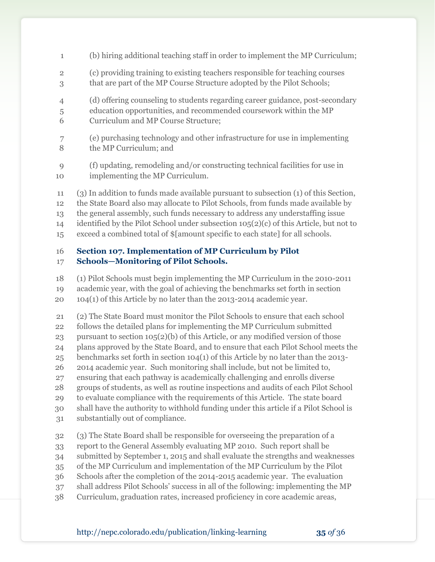- (b) hiring additional teaching staff in order to implement the MP Curriculum; (c) providing training to existing teachers responsible for teaching courses that are part of the MP Course Structure adopted by the Pilot Schools; (d) offering counseling to students regarding career guidance, post-secondary education opportunities, and recommended coursework within the MP Curriculum and MP Course Structure; (e) purchasing technology and other infrastructure for use in implementing the MP Curriculum; and (f) updating, remodeling and/or constructing technical facilities for use in implementing the MP Curriculum.
- (3) In addition to funds made available pursuant to subsection (1) of this Section, the State Board also may allocate to Pilot Schools, from funds made available by the general assembly, such funds necessary to address any understaffing issue
- identified by the Pilot School under subsection 105(2)(c) of this Article, but not to
- exceed a combined total of \$[amount specific to each state] for all schools.

#### **Section 107. Implementation of MP Curriculum by Pilot Schools—Monitoring of Pilot Schools.**

(1) Pilot Schools must begin implementing the MP Curriculum in the 2010-2011

academic year, with the goal of achieving the benchmarks set forth in section

104(1) of this Article by no later than the 2013-2014 academic year.

 (2) The State Board must monitor the Pilot Schools to ensure that each school follows the detailed plans for implementing the MP Curriculum submitted

pursuant to section 105(2)(b) of this Article, or any modified version of those

plans approved by the State Board, and to ensure that each Pilot School meets the

benchmarks set forth in section 104(1) of this Article by no later than the 2013-

2014 academic year. Such monitoring shall include, but not be limited to,

ensuring that each pathway is academically challenging and enrolls diverse

groups of students, as well as routine inspections and audits of each Pilot School

to evaluate compliance with the requirements of this Article. The state board

shall have the authority to withhold funding under this article if a Pilot School is

substantially out of compliance.

(3) The State Board shall be responsible for overseeing the preparation of a

report to the General Assembly evaluating MP 2010. Such report shall be

submitted by September 1, 2015 and shall evaluate the strengths and weaknesses

- of the MP Curriculum and implementation of the MP Curriculum by the Pilot
- Schools after the completion of the 2014-2015 academic year. The evaluation
- shall address Pilot Schools' success in all of the following: implementing the MP
- Curriculum, graduation rates, increased proficiency in core academic areas,